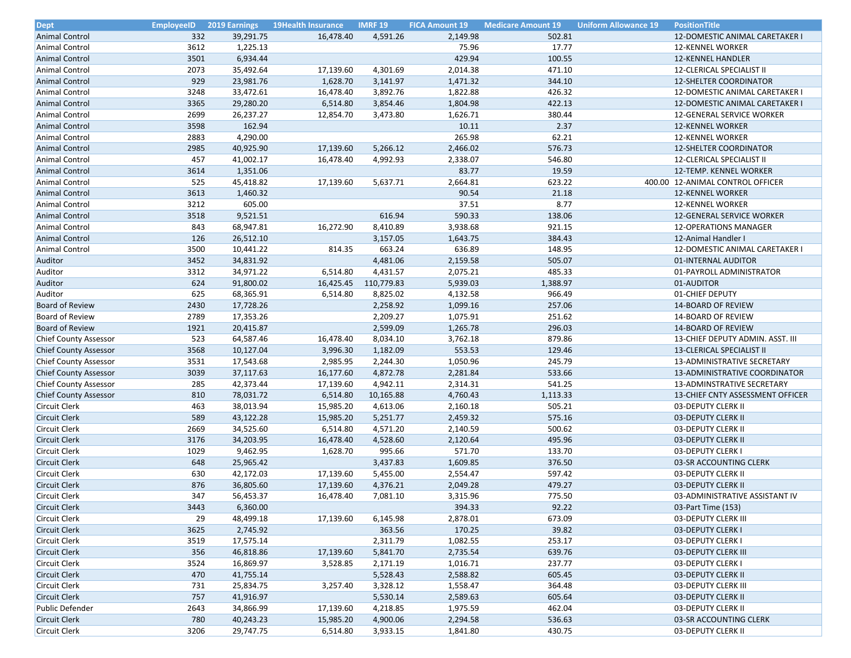| <b>Dept</b>                           | <b>EmployeeID</b> | 2019 Earnings | <b>19Health Insurance</b> | <b>IMRF 19</b> | <b>FICA Amount 19</b> | <b>Medicare Amount 19</b> | <b>Uniform Allowance 19</b><br><b>PositionTitle</b> |
|---------------------------------------|-------------------|---------------|---------------------------|----------------|-----------------------|---------------------------|-----------------------------------------------------|
| <b>Animal Control</b>                 | 332               | 39,291.75     | 16,478.40                 | 4,591.26       | 2,149.98              | 502.81                    | 12-DOMESTIC ANIMAL CARETAKER I                      |
| <b>Animal Control</b>                 | 3612              | 1,225.13      |                           |                | 75.96                 | 17.77                     | <b>12-KENNEL WORKER</b>                             |
| <b>Animal Control</b>                 | 3501              | 6,934.44      |                           |                | 429.94                | 100.55                    | 12-KENNEL HANDLER                                   |
| Animal Control                        | 2073              | 35,492.64     | 17,139.60                 | 4,301.69       | 2,014.38              | 471.10                    | 12-CLERICAL SPECIALIST II                           |
| <b>Animal Control</b>                 | 929               | 23,981.76     | 1,628.70                  | 3,141.97       | 1,471.32              | 344.10                    | <b>12-SHELTER COORDINATOR</b>                       |
| <b>Animal Control</b>                 | 3248              | 33,472.61     | 16,478.40                 | 3,892.76       | 1,822.88              | 426.32                    | 12-DOMESTIC ANIMAL CARETAKER I                      |
| <b>Animal Control</b>                 | 3365              | 29,280.20     | 6,514.80                  | 3,854.46       | 1,804.98              | 422.13                    | 12-DOMESTIC ANIMAL CARETAKER I                      |
| Animal Control                        | 2699              | 26,237.27     | 12,854.70                 | 3,473.80       | 1,626.71              | 380.44                    | 12-GENERAL SERVICE WORKER                           |
| <b>Animal Control</b>                 | 3598              | 162.94        |                           |                | 10.11                 | 2.37                      | <b>12-KENNEL WORKER</b>                             |
| <b>Animal Control</b>                 | 2883              | 4,290.00      |                           |                | 265.98                | 62.21                     | 12-KENNEL WORKER                                    |
| <b>Animal Control</b>                 | 2985              | 40,925.90     | 17,139.60                 | 5,266.12       | 2,466.02              | 576.73                    |                                                     |
|                                       |                   |               |                           |                |                       |                           | <b>12-SHELTER COORDINATOR</b>                       |
| <b>Animal Control</b>                 | 457               | 41,002.17     | 16,478.40                 | 4,992.93       | 2,338.07              | 546.80                    | 12-CLERICAL SPECIALIST II                           |
| <b>Animal Control</b>                 | 3614              | 1,351.06      |                           |                | 83.77                 | 19.59                     | 12-TEMP. KENNEL WORKER                              |
| Animal Control                        | 525               | 45,418.82     | 17,139.60                 | 5,637.71       | 2,664.81              | 623.22                    | 400.00 12-ANIMAL CONTROL OFFICER                    |
| <b>Animal Control</b>                 | 3613              | 1,460.32      |                           |                | 90.54                 | 21.18                     | <b>12-KENNEL WORKER</b>                             |
| Animal Control                        | 3212              | 605.00        |                           |                | 37.51                 | 8.77                      | 12-KENNEL WORKER                                    |
| <b>Animal Control</b>                 | 3518              | 9,521.51      |                           | 616.94         | 590.33                | 138.06                    | 12-GENERAL SERVICE WORKER                           |
| Animal Control                        | 843               | 68,947.81     | 16,272.90                 | 8,410.89       | 3,938.68              | 921.15                    | <b>12-OPERATIONS MANAGER</b>                        |
| <b>Animal Control</b>                 | 126               | 26,512.10     |                           | 3,157.05       | 1,643.75              | 384.43                    | 12-Animal Handler I                                 |
| Animal Control                        | 3500              | 10,441.22     | 814.35                    | 663.24         | 636.89                | 148.95                    | 12-DOMESTIC ANIMAL CARETAKER I                      |
| Auditor                               | 3452              | 34,831.92     |                           | 4,481.06       | 2,159.58              | 505.07                    | 01-INTERNAL AUDITOR                                 |
| Auditor                               | 3312              | 34,971.22     | 6,514.80                  | 4,431.57       | 2,075.21              | 485.33                    | 01-PAYROLL ADMINISTRATOR                            |
| Auditor                               | 624               | 91,800.02     | 16,425.45                 | 110,779.83     | 5,939.03              | 1,388.97                  | 01-AUDITOR                                          |
| Auditor                               | 625               | 68,365.91     | 6,514.80                  | 8,825.02       | 4,132.58              | 966.49                    | 01-CHIEF DEPUTY                                     |
| <b>Board of Review</b>                | 2430              | 17,728.26     |                           | 2,258.92       | 1,099.16              | 257.06                    | <b>14-BOARD OF REVIEW</b>                           |
| <b>Board of Review</b>                | 2789              | 17,353.26     |                           | 2,209.27       | 1,075.91              | 251.62                    | 14-BOARD OF REVIEW                                  |
| <b>Board of Review</b>                | 1921              | 20,415.87     |                           | 2,599.09       | 1,265.78              | 296.03                    | 14-BOARD OF REVIEW                                  |
| <b>Chief County Assessor</b>          | 523               | 64,587.46     | 16,478.40                 | 8,034.10       | 3,762.18              | 879.86                    | 13-CHIEF DEPUTY ADMIN. ASST. III                    |
| <b>Chief County Assessor</b>          | 3568              | 10,127.04     | 3,996.30                  | 1,182.09       | 553.53                | 129.46                    | 13-CLERICAL SPECIALIST II                           |
| <b>Chief County Assessor</b>          | 3531              | 17,543.68     | 2,985.95                  | 2,244.30       | 1,050.96              | 245.79                    | 13-ADMINISTRATIVE SECRETARY                         |
| <b>Chief County Assessor</b>          | 3039              | 37,117.63     | 16,177.60                 | 4,872.78       | 2,281.84              | 533.66                    | 13-ADMINISTRATIVE COORDINATOR                       |
| Chief County Assessor                 | 285               | 42,373.44     | 17,139.60                 | 4,942.11       | 2,314.31              | 541.25                    | 13-ADMINSTRATIVE SECRETARY                          |
| <b>Chief County Assessor</b>          | 810               | 78,031.72     | 6,514.80                  | 10,165.88      | 4,760.43              | 1,113.33                  | 13-CHIEF CNTY ASSESSMENT OFFICER                    |
| Circuit Clerk                         | 463               | 38,013.94     | 15,985.20                 | 4,613.06       | 2,160.18              | 505.21                    | 03-DEPUTY CLERK II                                  |
| <b>Circuit Clerk</b>                  | 589               | 43,122.28     | 15,985.20                 | 5,251.77       | 2,459.32              | 575.16                    | 03-DEPUTY CLERK II                                  |
| Circuit Clerk                         | 2669              | 34,525.60     | 6,514.80                  | 4,571.20       | 2,140.59              | 500.62                    | 03-DEPUTY CLERK II                                  |
| <b>Circuit Clerk</b>                  | 3176              | 34,203.95     | 16,478.40                 | 4,528.60       | 2,120.64              | 495.96                    | 03-DEPUTY CLERK II                                  |
| Circuit Clerk                         | 1029              | 9,462.95      | 1,628.70                  | 995.66         | 571.70                | 133.70                    | 03-DEPUTY CLERK I                                   |
| <b>Circuit Clerk</b>                  | 648               | 25,965.42     |                           | 3,437.83       | 1,609.85              | 376.50                    | 03-SR ACCOUNTING CLERK                              |
| Circuit Clerk                         | 630               | 42,172.03     | 17,139.60                 | 5,455.00       | 2,554.47              | 597.42                    | 03-DEPUTY CLERK II                                  |
| <b>Circuit Clerk</b>                  | 876               | 36,805.60     | 17,139.60                 | 4,376.21       | 2,049.28              | 479.27                    | 03-DEPUTY CLERK II                                  |
| Circuit Clerk                         | 347               | 56,453.37     | 16,478.40                 | 7,081.10       | 3,315.96              | 775.50                    | 03-ADMINISTRATIVE ASSISTANT IV                      |
| <b>Circuit Clerk</b>                  | 3443              | 6,360.00      |                           |                | 394.33                | 92.22                     | 03-Part Time (153)                                  |
| Circuit Clerk                         | 29                | 48,499.18     | 17,139.60                 | 6,145.98       | 2,878.01              | 673.09                    | 03-DEPUTY CLERK III                                 |
| <b>Circuit Clerk</b>                  | 3625              | 2,745.92      |                           | 363.56         | 170.25                | 39.82                     | 03-DEPUTY CLERK I                                   |
| Circuit Clerk                         | 3519              | 17,575.14     |                           | 2,311.79       | 1,082.55              | 253.17                    | 03-DEPUTY CLERK I                                   |
| <b>Circuit Clerk</b>                  | 356               | 46,818.86     | 17,139.60                 | 5,841.70       | 2,735.54              | 639.76                    | 03-DEPUTY CLERK III                                 |
|                                       |                   |               |                           |                |                       |                           |                                                     |
| Circuit Clerk<br><b>Circuit Clerk</b> | 3524              | 16,869.97     | 3,528.85                  | 2,171.19       | 1,016.71              | 237.77                    | 03-DEPUTY CLERK I                                   |
|                                       | 470               | 41,755.14     |                           | 5,528.43       | 2,588.82              | 605.45                    | 03-DEPUTY CLERK II                                  |
| Circuit Clerk                         | 731               | 25,834.75     | 3,257.40                  | 3,328.12       | 1,558.47              | 364.48                    | 03-DEPUTY CLERK III                                 |
| <b>Circuit Clerk</b>                  | 757               | 41,916.97     |                           | 5,530.14       | 2,589.63              | 605.64                    | 03-DEPUTY CLERK II                                  |
| Public Defender                       | 2643              | 34,866.99     | 17,139.60                 | 4,218.85       | 1,975.59              | 462.04                    | 03-DEPUTY CLERK II                                  |
| <b>Circuit Clerk</b>                  | 780               | 40,243.23     | 15,985.20                 | 4,900.06       | 2,294.58              | 536.63                    | 03-SR ACCOUNTING CLERK                              |
| Circuit Clerk                         | 3206              | 29,747.75     | 6,514.80                  | 3,933.15       | 1,841.80              | 430.75                    | 03-DEPUTY CLERK II                                  |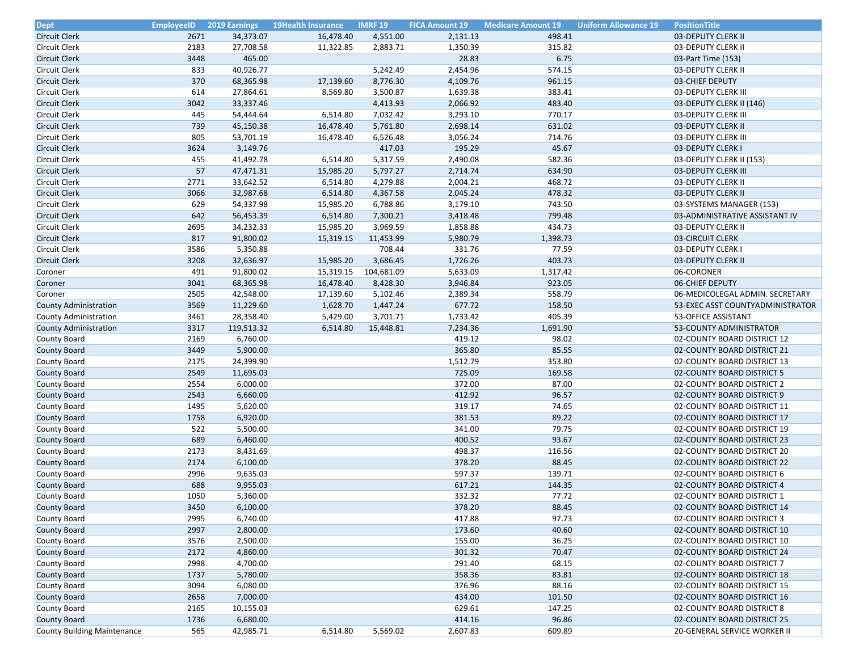| <b>Dept</b>                                           | <b>EmployeeID</b> | <b>2019 Earnings</b> | <b>19Health Insurance</b> | <b>IMRF 19</b> | <b>FICA Amount 19</b> | <b>Medicare Amount 19</b> | <b>Uniform Allowance 19</b> | <b>PositionTitle</b>                                      |
|-------------------------------------------------------|-------------------|----------------------|---------------------------|----------------|-----------------------|---------------------------|-----------------------------|-----------------------------------------------------------|
| <b>Circuit Clerk</b>                                  | 2671              | 34,373.07            | 16,478.40                 | 4,551.00       | 2,131.13              | 498.41                    |                             | 03-DEPUTY CLERK II                                        |
| Circuit Clerk                                         | 2183              | 27,708.58            | 11,322.85                 | 2,883.71       | 1,350.39              | 315.82                    |                             | 03-DEPUTY CLERK II                                        |
| <b>Circuit Clerk</b>                                  | 3448              | 465.00               |                           |                | 28.83                 | 6.75                      |                             | 03-Part Time (153)                                        |
| Circuit Clerk                                         | 833               | 40,926.77            |                           | 5,242.49       | 2,454.96              | 574.15                    |                             | 03-DEPUTY CLERK II                                        |
| <b>Circuit Clerk</b>                                  | 370               | 68,365.98            | 17,139.60                 | 8,776.30       | 4,109.76              | 961.15                    |                             | 03-CHIEF DEPUTY                                           |
| Circuit Clerk                                         | 614               | 27,864.61            | 8,569.80                  | 3,500.87       | 1,639.38              | 383.41                    |                             | 03-DEPUTY CLERK III                                       |
| <b>Circuit Clerk</b>                                  | 3042              | 33,337.46            |                           | 4,413.93       | 2,066.92              | 483.40                    |                             | 03-DEPUTY CLERK II (146)                                  |
| Circuit Clerk                                         | 445               | 54,444.64            | 6,514.80                  | 7,032.42       | 3,293.10              | 770.17                    |                             | 03-DEPUTY CLERK III                                       |
| <b>Circuit Clerk</b>                                  | 739               | 45,150.38            | 16,478.40                 | 5,761.80       | 2,698.14              | 631.02                    |                             | 03-DEPUTY CLERK II                                        |
| Circuit Clerk                                         | 805               | 53,701.19            | 16,478.40                 | 6,526.48       | 3,056.24              | 714.76                    |                             | 03-DEPUTY CLERK III                                       |
| <b>Circuit Clerk</b>                                  | 3624              | 3,149.76             |                           | 417.03         | 195.29                | 45.67                     |                             | 03-DEPUTY CLERK I                                         |
| Circuit Clerk                                         | 455               | 41,492.78            | 6,514.80                  | 5,317.59       | 2,490.08              | 582.36                    |                             | 03-DEPUTY CLERK II (153)                                  |
| <b>Circuit Clerk</b>                                  | 57                | 47,471.31            | 15,985.20                 | 5,797.27       | 2,714.74              | 634.90                    |                             | 03-DEPUTY CLERK III                                       |
| Circuit Clerk                                         | 2771              | 33,642.52            | 6,514.80                  | 4,279.88       | 2,004.21              | 468.72                    |                             | 03-DEPUTY CLERK II                                        |
| <b>Circuit Clerk</b>                                  | 3066              | 32,987.68            | 6,514.80                  | 4,367.58       | 2,045.24              | 478.32                    |                             | 03-DEPUTY CLERK II                                        |
| Circuit Clerk                                         | 629               | 54,337.98            | 15,985.20                 | 6,788.86       | 3,179.10              | 743.50                    |                             | 03-SYSTEMS MANAGER (153)                                  |
| <b>Circuit Clerk</b>                                  | 642               | 56,453.39            | 6,514.80                  | 7,300.21       | 3,418.48              | 799.48                    |                             | 03-ADMINISTRATIVE ASSISTANT IV                            |
| Circuit Clerk                                         | 2695              | 34,232.33            | 15,985.20                 | 3,969.59       | 1,858.88              | 434.73                    |                             | 03-DEPUTY CLERK II                                        |
| <b>Circuit Clerk</b>                                  | 817               | 91,800.02            | 15,319.15                 | 11,453.99      | 5,980.79              | 1,398.73                  |                             | 03-CIRCUIT CLERK                                          |
| Circuit Clerk                                         | 3586              | 5,350.88             |                           | 708.44         | 331.76                | 77.59                     |                             | 03-DEPUTY CLERK I                                         |
| <b>Circuit Clerk</b>                                  | 3208              | 32,636.97            | 15,985.20                 | 3,686.45       | 1,726.26              | 403.73                    |                             | 03-DEPUTY CLERK II                                        |
| Coroner                                               | 491               | 91,800.02            | 15,319.15                 | 104,681.09     | 5,633.09              | 1,317.42                  |                             | 06-CORONER                                                |
| Coroner                                               | 3041              | 68,365.98            | 16,478.40                 | 8,428.30       | 3,946.84              | 923.05                    |                             | <b>06-CHIEF DEPUTY</b>                                    |
| Coroner                                               | 2505              | 42,548.00            | 17,139.60                 | 5,102.46       | 2,389.34              | 558.79                    |                             | 06-MEDICOLEGAL ADMIN. SECRETARY                           |
| <b>County Administration</b>                          | 3569              | 11,229.60            | 1,628.70                  | 1,447.24       | 677.72                | 158.50                    |                             | 53-EXEC ASST COUNTYADMINISTRATOR                          |
|                                                       | 3461              | 28,358.40            | 5,429.00                  | 3,701.71       | 1,733.42              | 405.39                    |                             | 53-OFFICE ASSISTANT                                       |
| County Administration<br><b>County Administration</b> | 3317              | 119,513.32           | 6,514.80                  | 15,448.81      | 7,234.36              | 1,691.90                  |                             | 53-COUNTY ADMINISTRATOR                                   |
| County Board                                          | 2169              |                      |                           |                |                       | 98.02                     |                             |                                                           |
|                                                       | 3449              | 6,760.00<br>5,900.00 |                           |                | 419.12<br>365.80      | 85.55                     |                             | 02-COUNTY BOARD DISTRICT 12                               |
| <b>County Board</b>                                   | 2175              | 24,399.90            |                           |                |                       | 353.80                    |                             | 02-COUNTY BOARD DISTRICT 21                               |
| County Board<br>County Board                          | 2549              | 11,695.03            |                           |                | 1,512.79<br>725.09    | 169.58                    |                             | 02-COUNTY BOARD DISTRICT 13<br>02-COUNTY BOARD DISTRICT 5 |
| County Board                                          | 2554              | 6,000.00             |                           |                | 372.00                | 87.00                     |                             | 02-COUNTY BOARD DISTRICT 2                                |
|                                                       | 2543              |                      |                           |                | 412.92                | 96.57                     |                             |                                                           |
| <b>County Board</b>                                   | 1495              | 6,660.00             |                           |                | 319.17                | 74.65                     |                             | 02-COUNTY BOARD DISTRICT 9                                |
| County Board                                          |                   | 5,620.00             |                           |                |                       |                           |                             | 02-COUNTY BOARD DISTRICT 11                               |
| <b>County Board</b>                                   | 1758              | 6,920.00             |                           |                | 381.53                | 89.22                     |                             | 02-COUNTY BOARD DISTRICT 17                               |
| County Board                                          | 522               | 5,500.00             |                           |                | 341.00                | 79.75                     |                             | 02-COUNTY BOARD DISTRICT 19                               |
| <b>County Board</b>                                   | 689               | 6,460.00             |                           |                | 400.52                | 93.67                     |                             | 02-COUNTY BOARD DISTRICT 23                               |
| County Board                                          | 2173              | 8,431.69             |                           |                | 498.37                | 116.56                    |                             | 02-COUNTY BOARD DISTRICT 20                               |
| <b>County Board</b>                                   | 2174              | 6,100.00             |                           |                | 378.20                | 88.45                     |                             | 02-COUNTY BOARD DISTRICT 22                               |
| County Board                                          | 2996              | 9,635.03             |                           |                | 597.37                | 139.71                    |                             | 02-COUNTY BOARD DISTRICT 6                                |
| <b>County Board</b>                                   | 688               | 9,955.03             |                           |                | 617.21                | 144.35                    |                             | 02-COUNTY BOARD DISTRICT 4                                |
| County Board                                          | 1050              | 5,360.00             |                           |                | 332.32                | 77.72                     |                             | 02-COUNTY BOARD DISTRICT 1                                |
| <b>County Board</b>                                   | 3450              | 6,100.00             |                           |                | 378.20                | 88.45                     |                             | 02-COUNTY BOARD DISTRICT 14                               |
| County Board                                          | 2995              | 6,740.00             |                           |                | 417.88                | 97.73                     |                             | 02-COUNTY BOARD DISTRICT 3                                |
| <b>County Board</b>                                   | 2997              | 2,800.00             |                           |                | 173.60                | 40.60                     |                             | 02-COUNTY BOARD DISTRICT 10                               |
| County Board                                          | 3576              | 2,500.00             |                           |                | 155.00                | 36.25                     |                             | 02-COUNTY BOARD DISTRICT 10                               |
| <b>County Board</b>                                   | 2172              | 4,860.00             |                           |                | 301.32                | 70.47                     |                             | 02-COUNTY BOARD DISTRICT 24                               |
| County Board                                          | 2998              | 4,700.00             |                           |                | 291.40                | 68.15                     |                             | 02-COUNTY BOARD DISTRICT 7                                |
| <b>County Board</b>                                   | 1737              | 5,780.00             |                           |                | 358.36                | 83.81                     |                             | 02-COUNTY BOARD DISTRICT 18                               |
| County Board                                          | 3094              | 6,080.00             |                           |                | 376.96                | 88.16                     |                             | 02-COUNTY BOARD DISTRICT 15                               |
| <b>County Board</b>                                   | 2658              | 7,000.00             |                           |                | 434.00                | 101.50                    |                             | 02-COUNTY BOARD DISTRICT 16                               |
| County Board                                          | 2165              | 10,155.03            |                           |                | 629.61                | 147.25                    |                             | 02-COUNTY BOARD DISTRICT 8                                |
| <b>County Board</b>                                   | 1736              | 6,680.00             |                           |                | 414.16                | 96.86                     |                             | 02-COUNTY BOARD DISTRICT 25                               |
| County Building Maintenance                           | 565               | 42,985.71            | 6,514.80                  | 5,569.02       | 2,607.83              | 609.89                    |                             | 20-GENERAL SERVICE WORKER II                              |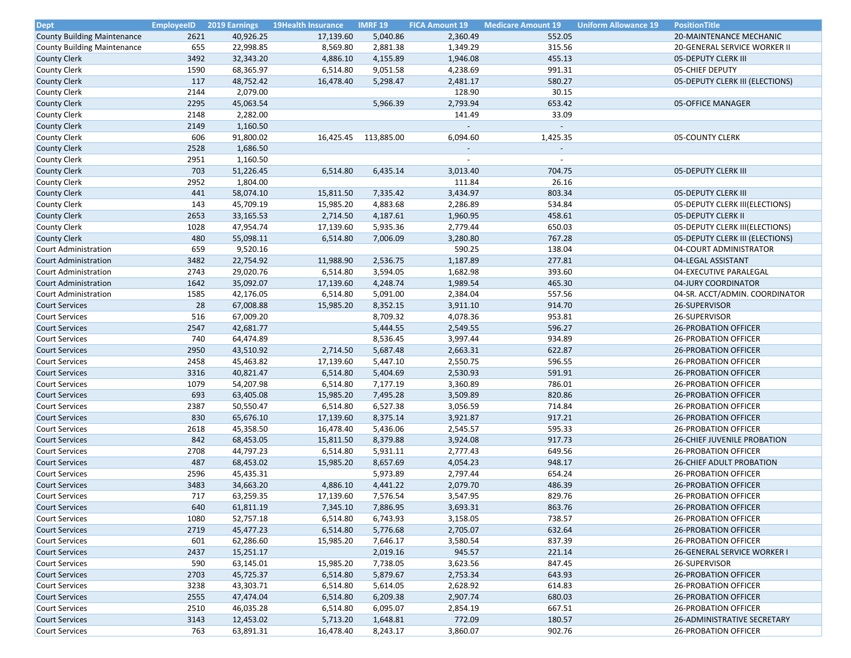| <b>Dept</b>                                   | <b>EmployeeID</b> | <b>2019 Earnings</b> | <b>19Health Insurance</b> | <b>IMRF 19</b> | <b>FICA Amount 19</b> | <b>Medicare Amount 19</b> | <b>Uniform Allowance 19</b> | <b>PositionTitle</b>            |
|-----------------------------------------------|-------------------|----------------------|---------------------------|----------------|-----------------------|---------------------------|-----------------------------|---------------------------------|
| <b>County Building Maintenance</b>            | 2621              | 40,926.25            | 17,139.60                 | 5,040.86       | 2,360.49              | 552.05                    |                             | 20-MAINTENANCE MECHANIC         |
| County Building Maintenance                   | 655               | 22,998.85            | 8,569.80                  | 2,881.38       | 1,349.29              | 315.56                    |                             | 20-GENERAL SERVICE WORKER II    |
| <b>County Clerk</b>                           | 3492              | 32,343.20            | 4,886.10                  | 4,155.89       | 1,946.08              | 455.13                    |                             | 05-DEPUTY CLERK III             |
| County Clerk                                  | 1590              | 68,365.97            | 6,514.80                  | 9,051.58       | 4,238.69              | 991.31                    |                             | 05-CHIEF DEPUTY                 |
| <b>County Clerk</b>                           | 117               | 48,752.42            | 16,478.40                 | 5,298.47       | 2,481.17              | 580.27                    |                             | 05-DEPUTY CLERK III (ELECTIONS) |
| <b>County Clerk</b>                           | 2144              | 2,079.00             |                           |                | 128.90                | 30.15                     |                             |                                 |
| <b>County Clerk</b>                           | 2295              | 45,063.54            |                           | 5,966.39       | 2,793.94              | 653.42                    |                             | 05-OFFICE MANAGER               |
| <b>County Clerk</b>                           | 2148              | 2,282.00             |                           |                | 141.49                | 33.09                     |                             |                                 |
| <b>County Clerk</b>                           | 2149              | 1,160.50             |                           |                |                       |                           |                             |                                 |
| County Clerk                                  | 606               | 91,800.02            | 16,425.45                 | 113,885.00     | 6,094.60              | 1,425.35                  |                             | 05-COUNTY CLERK                 |
| <b>County Clerk</b>                           | 2528              | 1,686.50             |                           |                |                       |                           |                             |                                 |
| <b>County Clerk</b>                           | 2951              | 1,160.50             |                           |                | $\sim$                | $\sim$                    |                             |                                 |
| <b>County Clerk</b>                           | 703               | 51,226.45            | 6,514.80                  | 6,435.14       | 3,013.40              | 704.75                    |                             | 05-DEPUTY CLERK III             |
| County Clerk                                  | 2952              | 1,804.00             |                           |                | 111.84                | 26.16                     |                             |                                 |
| <b>County Clerk</b>                           | 441               | 58,074.10            | 15,811.50                 | 7,335.42       | 3,434.97              | 803.34                    |                             | 05-DEPUTY CLERK III             |
| <b>County Clerk</b>                           | 143               | 45,709.19            | 15,985.20                 | 4,883.68       | 2,286.89              | 534.84                    |                             | 05-DEPUTY CLERK III(ELECTIONS)  |
| <b>County Clerk</b>                           | 2653              | 33,165.53            | 2,714.50                  | 4,187.61       | 1,960.95              | 458.61                    |                             | 05-DEPUTY CLERK II              |
| County Clerk                                  | 1028              | 47,954.74            | 17,139.60                 | 5,935.36       | 2,779.44              | 650.03                    |                             | 05-DEPUTY CLERK III(ELECTIONS)  |
| <b>County Clerk</b>                           | 480               | 55,098.11            | 6,514.80                  | 7,006.09       | 3,280.80              | 767.28                    |                             | 05-DEPUTY CLERK III (ELECTIONS) |
| Court Administration                          | 659               | 9,520.16             |                           |                | 590.25                | 138.04                    |                             | 04-COURT ADMINISTRATOR          |
| Court Administration                          | 3482              | 22,754.92            | 11,988.90                 | 2,536.75       | 1,187.89              | 277.81                    |                             | 04-LEGAL ASSISTANT              |
| Court Administration                          | 2743              | 29,020.76            | 6,514.80                  | 3,594.05       | 1,682.98              | 393.60                    |                             | 04-EXECUTIVE PARALEGAL          |
|                                               | 1642              | 35,092.07            | 17,139.60                 | 4,248.74       | 1,989.54              | 465.30                    |                             | 04-JURY COORDINATOR             |
| Court Administration                          |                   | 42,176.05            |                           |                |                       | 557.56                    |                             |                                 |
| Court Administration<br><b>Court Services</b> | 1585<br>28        |                      | 6,514.80                  | 5,091.00       | 2,384.04              |                           |                             | 04-SR. ACCT/ADMIN. COORDINATOR  |
|                                               |                   | 67,008.88            | 15,985.20                 | 8,352.15       | 3,911.10              | 914.70                    |                             | 26-SUPERVISOR                   |
| <b>Court Services</b>                         | 516               | 67,009.20            |                           | 8,709.32       | 4,078.36              | 953.81                    |                             | 26-SUPERVISOR                   |
| <b>Court Services</b>                         | 2547              | 42,681.77            |                           | 5,444.55       | 2,549.55              | 596.27                    |                             | <b>26-PROBATION OFFICER</b>     |
| <b>Court Services</b>                         | 740               | 64,474.89            |                           | 8,536.45       | 3,997.44              | 934.89                    |                             | 26-PROBATION OFFICER            |
| <b>Court Services</b>                         | 2950              | 43,510.92            | 2,714.50                  | 5,687.48       | 2,663.31              | 622.87                    |                             | <b>26-PROBATION OFFICER</b>     |
| <b>Court Services</b>                         | 2458              | 45,463.82            | 17,139.60                 | 5,447.10       | 2,550.75              | 596.55                    |                             | <b>26-PROBATION OFFICER</b>     |
| <b>Court Services</b>                         | 3316              | 40,821.47            | 6,514.80                  | 5,404.69       | 2,530.93              | 591.91                    |                             | <b>26-PROBATION OFFICER</b>     |
| <b>Court Services</b>                         | 1079              | 54,207.98            | 6,514.80                  | 7,177.19       | 3,360.89              | 786.01                    |                             | <b>26-PROBATION OFFICER</b>     |
| <b>Court Services</b>                         | 693               | 63,405.08            | 15,985.20                 | 7,495.28       | 3,509.89              | 820.86                    |                             | <b>26-PROBATION OFFICER</b>     |
| <b>Court Services</b>                         | 2387              | 50,550.47            | 6,514.80                  | 6,527.38       | 3,056.59              | 714.84                    |                             | <b>26-PROBATION OFFICER</b>     |
| <b>Court Services</b>                         | 830               | 65,676.10            | 17,139.60                 | 8,375.14       | 3,921.87              | 917.21                    |                             | <b>26-PROBATION OFFICER</b>     |
| <b>Court Services</b>                         | 2618              | 45,358.50            | 16,478.40                 | 5,436.06       | 2,545.57              | 595.33                    |                             | <b>26-PROBATION OFFICER</b>     |
| <b>Court Services</b>                         | 842               | 68,453.05            | 15,811.50                 | 8,379.88       | 3,924.08              | 917.73                    |                             | 26-CHIEF JUVENILE PROBATION     |
| <b>Court Services</b>                         | 2708              | 44,797.23            | 6,514.80                  | 5,931.11       | 2,777.43              | 649.56                    |                             | <b>26-PROBATION OFFICER</b>     |
| <b>Court Services</b>                         | 487               | 68,453.02            | 15,985.20                 | 8,657.69       | 4,054.23              | 948.17                    |                             | <b>26-CHIEF ADULT PROBATION</b> |
| <b>Court Services</b>                         | 2596              | 45,435.31            |                           | 5,973.89       | 2,797.44              | 654.24                    |                             | <b>26-PROBATION OFFICER</b>     |
| <b>Court Services</b>                         | 3483              | 34,663.20            | 4,886.10                  | 4,441.22       | 2,079.70              | 486.39                    |                             | <b>26-PROBATION OFFICER</b>     |
| <b>Court Services</b>                         | 717               | 63,259.35            | 17,139.60                 | 7,576.54       | 3,547.95              | 829.76                    |                             | <b>26-PROBATION OFFICER</b>     |
| <b>Court Services</b>                         | 640               | 61,811.19            | 7,345.10                  | 7,886.95       | 3,693.31              | 863.76                    |                             | <b>26-PROBATION OFFICER</b>     |
| <b>Court Services</b>                         | 1080              | 52,757.18            | 6,514.80                  | 6,743.93       | 3,158.05              | 738.57                    |                             | 26-PROBATION OFFICER            |
| <b>Court Services</b>                         | 2719              | 45,477.23            | 6,514.80                  | 5,776.68       | 2,705.07              | 632.64                    |                             | <b>26-PROBATION OFFICER</b>     |
| <b>Court Services</b>                         | 601               | 62,286.60            | 15,985.20                 | 7,646.17       | 3,580.54              | 837.39                    |                             | <b>26-PROBATION OFFICER</b>     |
| <b>Court Services</b>                         | 2437              | 15,251.17            |                           | 2,019.16       | 945.57                | 221.14                    |                             | 26-GENERAL SERVICE WORKER I     |
| <b>Court Services</b>                         | 590               | 63,145.01            | 15,985.20                 | 7,738.05       | 3,623.56              | 847.45                    |                             | 26-SUPERVISOR                   |
| <b>Court Services</b>                         | 2703              | 45,725.37            | 6,514.80                  | 5,879.67       | 2,753.34              | 643.93                    |                             | <b>26-PROBATION OFFICER</b>     |
| <b>Court Services</b>                         | 3238              | 43,303.71            | 6,514.80                  | 5,614.05       | 2,628.92              | 614.83                    |                             | <b>26-PROBATION OFFICER</b>     |
| <b>Court Services</b>                         | 2555              | 47,474.04            | 6,514.80                  | 6,209.38       | 2,907.74              | 680.03                    |                             | 26-PROBATION OFFICER            |
| <b>Court Services</b>                         | 2510              | 46,035.28            | 6,514.80                  | 6,095.07       | 2,854.19              | 667.51                    |                             | 26-PROBATION OFFICER            |
| <b>Court Services</b>                         | 3143              | 12,453.02            | 5,713.20                  | 1,648.81       | 772.09                | 180.57                    |                             | 26-ADMINISTRATIVE SECRETARY     |
| Court Services                                | 763               | 63,891.31            | 16,478.40                 | 8,243.17       | 3,860.07              | 902.76                    |                             | <b>26-PROBATION OFFICER</b>     |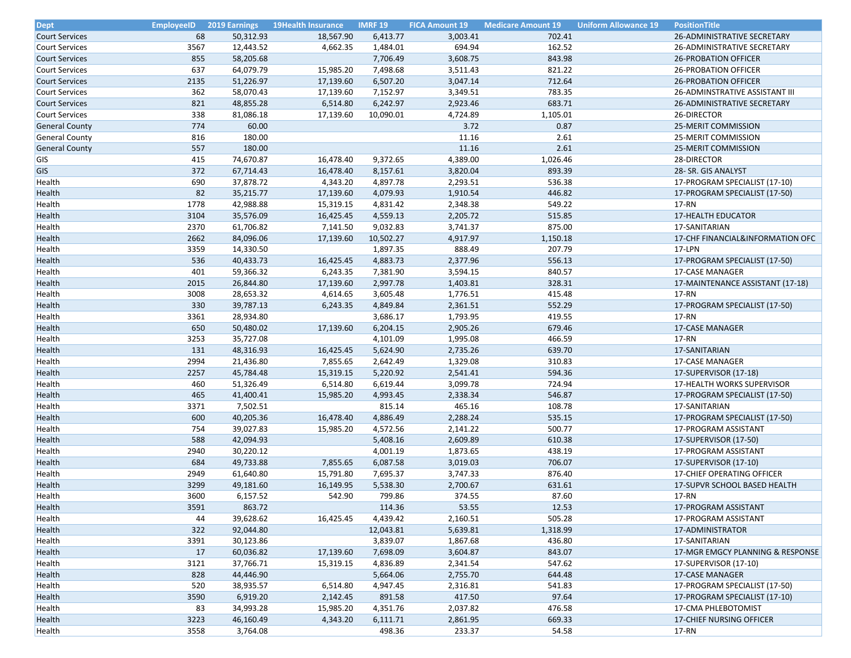| <b>Dept</b>           | <b>EmployeeID</b> | <b>2019 Earnings</b> | 19Health Insurance | <b>IMRF 19</b> | <b>FICA Amount 19</b> | <b>Medicare Amount 19</b> | <b>Uniform Allowance 19</b> | <b>PositionTitle</b>             |
|-----------------------|-------------------|----------------------|--------------------|----------------|-----------------------|---------------------------|-----------------------------|----------------------------------|
| <b>Court Services</b> | 68                | 50,312.93            | 18,567.90          | 6,413.77       | 3,003.41              | 702.41                    |                             | 26-ADMINISTRATIVE SECRETARY      |
| <b>Court Services</b> | 3567              | 12,443.52            | 4,662.35           | 1,484.01       | 694.94                | 162.52                    |                             | 26-ADMINISTRATIVE SECRETARY      |
| <b>Court Services</b> | 855               | 58,205.68            |                    | 7,706.49       | 3,608.75              | 843.98                    |                             | <b>26-PROBATION OFFICER</b>      |
| <b>Court Services</b> | 637               | 64,079.79            | 15,985.20          | 7,498.68       | 3,511.43              | 821.22                    |                             | <b>26-PROBATION OFFICER</b>      |
| <b>Court Services</b> | 2135              | 51,226.97            | 17,139.60          | 6,507.20       | 3,047.14              | 712.64                    |                             | <b>26-PROBATION OFFICER</b>      |
| <b>Court Services</b> | 362               | 58,070.43            | 17,139.60          | 7,152.97       | 3,349.51              | 783.35                    |                             | 26-ADMINSTRATIVE ASSISTANT III   |
| <b>Court Services</b> | 821               | 48,855.28            | 6,514.80           | 6,242.97       | 2,923.46              | 683.71                    |                             | 26-ADMINISTRATIVE SECRETARY      |
| <b>Court Services</b> | 338               | 81,086.18            | 17,139.60          | 10,090.01      | 4,724.89              | 1,105.01                  |                             | 26-DIRECTOR                      |
| <b>General County</b> | 774               | 60.00                |                    |                | 3.72                  | 0.87                      |                             | 25-MERIT COMMISSION              |
| <b>General County</b> | 816               | 180.00               |                    |                | 11.16                 | 2.61                      |                             | 25-MERIT COMMISSION              |
| <b>General County</b> | 557               | 180.00               |                    |                | 11.16                 | 2.61                      |                             | 25-MERIT COMMISSION              |
| GIS                   | 415               | 74,670.87            | 16,478.40          | 9,372.65       | 4,389.00              | 1,026.46                  |                             | 28-DIRECTOR                      |
| <b>GIS</b>            | 372               | 67,714.43            | 16,478.40          | 8,157.61       | 3,820.04              | 893.39                    |                             | 28- SR. GIS ANALYST              |
| Health                | 690               | 37,878.72            | 4,343.20           | 4,897.78       | 2,293.51              | 536.38                    |                             | 17-PROGRAM SPECIALIST (17-10)    |
| Health                | 82                | 35,215.77            | 17,139.60          | 4,079.93       | 1,910.54              | 446.82                    |                             | 17-PROGRAM SPECIALIST (17-50)    |
| Health                | 1778              | 42,988.88            | 15,319.15          | 4,831.42       | 2,348.38              | 549.22                    |                             | 17-RN                            |
| Health                | 3104              | 35,576.09            | 16,425.45          | 4,559.13       | 2,205.72              | 515.85                    |                             | <b>17-HEALTH EDUCATOR</b>        |
| Health                | 2370              | 61,706.82            | 7,141.50           | 9,032.83       | 3,741.37              | 875.00                    |                             | 17-SANITARIAN                    |
| Health                | 2662              | 84,096.06            | 17,139.60          | 10,502.27      | 4,917.97              | 1,150.18                  |                             | 17-CHF FINANCIAL&INFORMATION OFC |
| Health                | 3359              | 14,330.50            |                    | 1,897.35       | 888.49                | 207.79                    |                             | 17-LPN                           |
| Health                | 536               | 40,433.73            | 16,425.45          | 4,883.73       | 2,377.96              | 556.13                    |                             | 17-PROGRAM SPECIALIST (17-50)    |
| Health                | 401               | 59,366.32            | 6,243.35           | 7,381.90       | 3,594.15              | 840.57                    |                             | 17-CASE MANAGER                  |
| Health                | 2015              | 26,844.80            | 17,139.60          | 2,997.78       | 1,403.81              | 328.31                    |                             | 17-MAINTENANCE ASSISTANT (17-18) |
|                       |                   |                      |                    |                | 1,776.51              | 415.48                    |                             | 17-RN                            |
| Health                | 3008<br>330       | 28,653.32            | 4,614.65           | 3,605.48       |                       |                           |                             | 17-PROGRAM SPECIALIST (17-50)    |
| Health                |                   | 39,787.13            | 6,243.35           | 4,849.84       | 2,361.51              | 552.29                    |                             |                                  |
| Health                | 3361              | 28,934.80            |                    | 3,686.17       | 1,793.95              | 419.55                    |                             | 17-RN                            |
| Health                | 650               | 50,480.02            | 17,139.60          | 6,204.15       | 2,905.26              | 679.46                    |                             | 17-CASE MANAGER                  |
| Health                | 3253              | 35,727.08            |                    | 4,101.09       | 1,995.08              | 466.59                    |                             | 17-RN                            |
| Health                | 131               | 48,316.93            | 16,425.45          | 5,624.90       | 2,735.26              | 639.70                    |                             | 17-SANITARIAN                    |
| Health                | 2994              | 21,436.80            | 7,855.65           | 2,642.49       | 1,329.08              | 310.83                    |                             | 17-CASE MANAGER                  |
| Health                | 2257              | 45,784.48            | 15,319.15          | 5,220.92       | 2,541.41              | 594.36                    |                             | 17-SUPERVISOR (17-18)            |
| Health                | 460               | 51,326.49            | 6,514.80           | 6,619.44       | 3,099.78              | 724.94                    |                             | 17-HEALTH WORKS SUPERVISOR       |
| Health                | 465               | 41,400.41            | 15,985.20          | 4,993.45       | 2,338.34              | 546.87                    |                             | 17-PROGRAM SPECIALIST (17-50)    |
| Health                | 3371              | 7,502.51             |                    | 815.14         | 465.16                | 108.78                    |                             | 17-SANITARIAN                    |
| Health                | 600               | 40,205.36            | 16,478.40          | 4,886.49       | 2,288.24              | 535.15                    |                             | 17-PROGRAM SPECIALIST (17-50)    |
| Health                | 754               | 39,027.83            | 15,985.20          | 4,572.56       | 2,141.22              | 500.77                    |                             | 17-PROGRAM ASSISTANT             |
| Health                | 588               | 42,094.93            |                    | 5,408.16       | 2,609.89              | 610.38                    |                             | 17-SUPERVISOR (17-50)            |
| Health                | 2940              | 30,220.12            |                    | 4,001.19       | 1,873.65              | 438.19                    |                             | 17-PROGRAM ASSISTANT             |
| Health                | 684               | 49,733.88            | 7,855.65           | 6,087.58       | 3,019.03              | 706.07                    |                             | 17-SUPERVISOR (17-10)            |
| Health                | 2949              | 61,640.80            | 15,791.80          | 7,695.37       | 3,747.33              | 876.40                    |                             | 17-CHIEF OPERATING OFFICER       |
| Health                | 3299              | 49,181.60            | 16,149.95          | 5,538.30       | 2,700.67              | 631.61                    |                             | 17-SUPVR SCHOOL BASED HEALTH     |
| Health                | 3600              | 6,157.52             | 542.90             | 799.86         | 374.55                | 87.60                     |                             | 17-RN                            |
| Health                | 3591              | 863.72               |                    | 114.36         | 53.55                 | 12.53                     |                             | 17-PROGRAM ASSISTANT             |
| Health                | 44                | 39,628.62            | 16,425.45          | 4,439.42       | 2,160.51              | 505.28                    |                             | 17-PROGRAM ASSISTANT             |
| Health                | 322               | 92,044.80            |                    | 12,043.81      | 5,639.81              | 1,318.99                  |                             | 17-ADMINISTRATOR                 |
| Health                | 3391              | 30,123.86            |                    | 3,839.07       | 1,867.68              | 436.80                    |                             | 17-SANITARIAN                    |
| Health                | 17                | 60,036.82            | 17,139.60          | 7,698.09       | 3,604.87              | 843.07                    |                             | 17-MGR EMGCY PLANNING & RESPONSE |
| Health                | 3121              | 37,766.71            | 15,319.15          | 4,836.89       | 2,341.54              | 547.62                    |                             | 17-SUPERVISOR (17-10)            |
| Health                | 828               | 44,446.90            |                    | 5,664.06       | 2,755.70              | 644.48                    |                             | 17-CASE MANAGER                  |
| Health                | 520               | 38,935.57            | 6,514.80           | 4,947.45       | 2,316.81              | 541.83                    |                             | 17-PROGRAM SPECIALIST (17-50)    |
| Health                | 3590              | 6,919.20             | 2,142.45           | 891.58         | 417.50                | 97.64                     |                             | 17-PROGRAM SPECIALIST (17-10)    |
| Health                | 83                | 34,993.28            | 15,985.20          | 4,351.76       | 2,037.82              | 476.58                    |                             | 17-CMA PHLEBOTOMIST              |
| Health                | 3223              | 46,160.49            | 4,343.20           | 6,111.71       | 2,861.95              | 669.33                    |                             | <b>17-CHIEF NURSING OFFICER</b>  |
| Health                | 3558              | 3,764.08             |                    | 498.36         | 233.37                | 54.58                     |                             | 17-RN                            |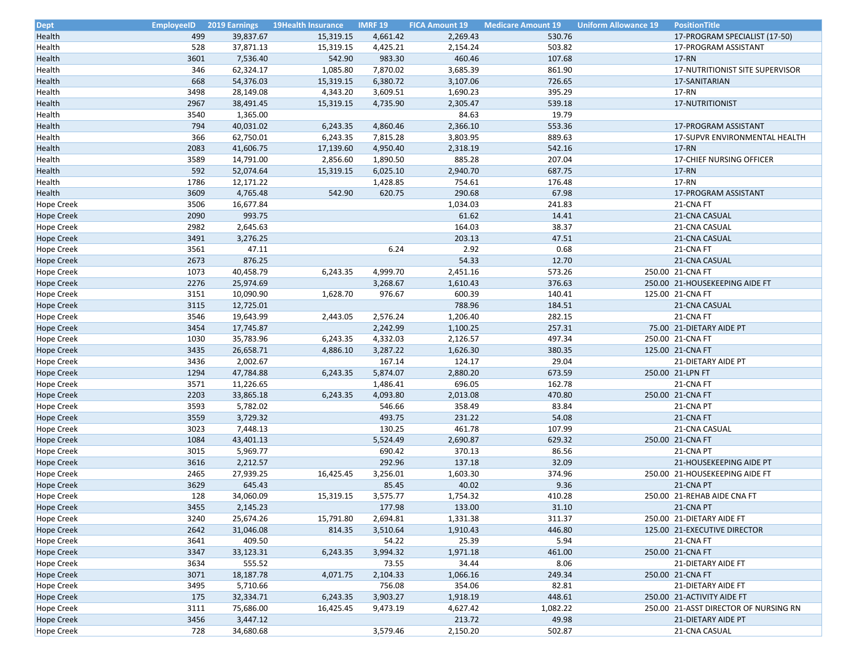| <b>Dept</b>       | <b>EmployeeID</b> | <b>2019 Earnings</b> | <b>19Health Insurance</b> | <b>IMRF 19</b> | <b>FICA Amount 19</b> | <b>Medicare Amount 19</b> | <b>Uniform Allowance 19</b> | <b>PositionTitle</b>                  |
|-------------------|-------------------|----------------------|---------------------------|----------------|-----------------------|---------------------------|-----------------------------|---------------------------------------|
| <b>Health</b>     | 499               | 39,837.67            | 15,319.15                 | 4,661.42       | 2,269.43              | 530.76                    |                             | 17-PROGRAM SPECIALIST (17-50)         |
| Health            | 528               | 37,871.13            | 15,319.15                 | 4,425.21       | 2,154.24              | 503.82                    |                             | 17-PROGRAM ASSISTANT                  |
| Health            | 3601              | 7,536.40             | 542.90                    | 983.30         | 460.46                | 107.68                    |                             | 17-RN                                 |
| Health            | 346               | 62,324.17            | 1,085.80                  | 7,870.02       | 3,685.39              | 861.90                    |                             | 17-NUTRITIONIST SITE SUPERVISOR       |
| Health            | 668               | 54,376.03            | 15,319.15                 | 6,380.72       | 3,107.06              | 726.65                    |                             | 17-SANITARIAN                         |
| Health            | 3498              | 28,149.08            | 4,343.20                  | 3,609.51       | 1,690.23              | 395.29                    |                             | 17-RN                                 |
| Health            | 2967              | 38,491.45            | 15,319.15                 | 4,735.90       | 2,305.47              | 539.18                    |                             | 17-NUTRITIONIST                       |
| Health            | 3540              | 1,365.00             |                           |                | 84.63                 | 19.79                     |                             |                                       |
| Health            | 794               | 40,031.02            | 6,243.35                  | 4,860.46       | 2,366.10              | 553.36                    |                             | 17-PROGRAM ASSISTANT                  |
| Health            | 366               | 62,750.01            | 6,243.35                  | 7,815.28       | 3,803.95              | 889.63                    |                             | 17-SUPVR ENVIRONMENTAL HEALTH         |
| Health            | 2083              | 41,606.75            | 17,139.60                 | 4,950.40       | 2,318.19              | 542.16                    |                             | 17-RN                                 |
| Health            | 3589              | 14,791.00            | 2,856.60                  | 1,890.50       | 885.28                | 207.04                    |                             | 17-CHIEF NURSING OFFICER              |
| Health            | 592               | 52,074.64            | 15,319.15                 | 6,025.10       | 2,940.70              | 687.75                    |                             | 17-RN                                 |
| Health            | 1786              | 12,171.22            |                           | 1,428.85       | 754.61                | 176.48                    |                             | 17-RN                                 |
| <b>Health</b>     | 3609              | 4,765.48             | 542.90                    | 620.75         | 290.68                | 67.98                     |                             | 17-PROGRAM ASSISTANT                  |
| <b>Hope Creek</b> | 3506              | 16,677.84            |                           |                | 1,034.03              | 241.83                    |                             | 21-CNA FT                             |
| <b>Hope Creek</b> | 2090              | 993.75               |                           |                | 61.62                 | 14.41                     |                             | 21-CNA CASUAL                         |
| <b>Hope Creek</b> | 2982              | 2,645.63             |                           |                | 164.03                | 38.37                     |                             | 21-CNA CASUAL                         |
| <b>Hope Creek</b> | 3491              | 3,276.25             |                           |                | 203.13                | 47.51                     |                             | 21-CNA CASUAL                         |
| <b>Hope Creek</b> | 3561              | 47.11                |                           | 6.24           | 2.92                  | 0.68                      |                             | 21-CNA FT                             |
| <b>Hope Creek</b> | 2673              | 876.25               |                           |                | 54.33                 | 12.70                     |                             | 21-CNA CASUAL                         |
| <b>Hope Creek</b> | 1073              | 40,458.79            | 6,243.35                  | 4,999.70       | 2,451.16              | 573.26                    |                             | 250.00 21-CNA FT                      |
| <b>Hope Creek</b> | 2276              | 25,974.69            |                           | 3,268.67       | 1,610.43              | 376.63                    |                             | 250.00 21-HOUSEKEEPING AIDE FT        |
| <b>Hope Creek</b> | 3151              | 10,090.90            |                           | 976.67         | 600.39                | 140.41                    |                             | 125.00 21-CNA FT                      |
| <b>Hope Creek</b> | 3115              | 12,725.01            | 1,628.70                  |                | 788.96                | 184.51                    |                             | 21-CNA CASUAL                         |
|                   | 3546              | 19,643.99            |                           | 2,576.24       | 1,206.40              | 282.15                    |                             | 21-CNA FT                             |
| <b>Hope Creek</b> |                   |                      | 2,443.05                  |                |                       |                           |                             |                                       |
| <b>Hope Creek</b> | 3454              | 17,745.87            |                           | 2,242.99       | 1,100.25              | 257.31                    |                             | 75.00 21-DIETARY AIDE PT              |
| <b>Hope Creek</b> | 1030              | 35,783.96            | 6,243.35                  | 4,332.03       | 2,126.57              | 497.34                    |                             | 250.00 21-CNA FT                      |
| <b>Hope Creek</b> | 3435              | 26,658.71            | 4,886.10                  | 3,287.22       | 1,626.30              | 380.35                    |                             | 125.00 21-CNA FT                      |
| <b>Hope Creek</b> | 3436              | 2,002.67             |                           | 167.14         | 124.17                | 29.04                     |                             | 21-DIETARY AIDE PT                    |
| <b>Hope Creek</b> | 1294              | 47,784.88            | 6,243.35                  | 5,874.07       | 2,880.20              | 673.59                    |                             | 250.00 21-LPN FT                      |
| <b>Hope Creek</b> | 3571              | 11,226.65            |                           | 1,486.41       | 696.05                | 162.78                    |                             | 21-CNA FT                             |
| <b>Hope Creek</b> | 2203              | 33,865.18            | 6,243.35                  | 4,093.80       | 2,013.08              | 470.80                    |                             | 250.00 21-CNA FT                      |
| <b>Hope Creek</b> | 3593              | 5,782.02             |                           | 546.66         | 358.49                | 83.84                     |                             | 21-CNA PT                             |
| <b>Hope Creek</b> | 3559              | 3,729.32             |                           | 493.75         | 231.22                | 54.08                     |                             | 21-CNA FT                             |
| <b>Hope Creek</b> | 3023              | 7,448.13             |                           | 130.25         | 461.78                | 107.99                    |                             | 21-CNA CASUAL                         |
| <b>Hope Creek</b> | 1084              | 43,401.13            |                           | 5,524.49       | 2,690.87              | 629.32                    |                             | 250.00 21-CNA FT                      |
| <b>Hope Creek</b> | 3015              | 5,969.77             |                           | 690.42         | 370.13                | 86.56                     |                             | 21-CNA PT                             |
| <b>Hope Creek</b> | 3616              | 2,212.57             |                           | 292.96         | 137.18                | 32.09                     |                             | 21-HOUSEKEEPING AIDE PT               |
| <b>Hope Creek</b> | 2465              | 27,939.25            | 16,425.45                 | 3,256.01       | 1,603.30              | 374.96                    |                             | 250.00 21-HOUSEKEEPING AIDE FT        |
| <b>Hope Creek</b> | 3629              | 645.43               |                           | 85.45          | 40.02                 | 9.36                      |                             | 21-CNA PT                             |
| <b>Hope Creek</b> | 128               | 34,060.09            | 15,319.15                 | 3,575.77       | 1,754.32              | 410.28                    |                             | 250.00 21-REHAB AIDE CNA FT           |
| <b>Hope Creek</b> | 3455              | 2,145.23             |                           | 177.98         | 133.00                | 31.10                     |                             | 21-CNA PT                             |
| <b>Hope Creek</b> | 3240              | 25,674.26            | 15,791.80                 | 2,694.81       | 1,331.38              | 311.37                    |                             | 250.00 21-DIETARY AIDE FT             |
| <b>Hope Creek</b> | 2642              | 31,046.08            | 814.35                    | 3,510.64       | 1,910.43              | 446.80                    |                             | 125.00 21-EXECUTIVE DIRECTOR          |
| <b>Hope Creek</b> | 3641              | 409.50               |                           | 54.22          | 25.39                 | 5.94                      |                             | 21-CNA FT                             |
| <b>Hope Creek</b> | 3347              | 33,123.31            | 6,243.35                  | 3,994.32       | 1,971.18              | 461.00                    |                             | 250.00 21-CNA FT                      |
| <b>Hope Creek</b> | 3634              | 555.52               |                           | 73.55          | 34.44                 | 8.06                      |                             | 21-DIETARY AIDE FT                    |
| <b>Hope Creek</b> | 3071              | 18,187.78            | 4,071.75                  | 2,104.33       | 1,066.16              | 249.34                    |                             | 250.00 21-CNA FT                      |
| <b>Hope Creek</b> | 3495              | 5,710.66             |                           | 756.08         | 354.06                | 82.81                     |                             | 21-DIETARY AIDE FT                    |
| <b>Hope Creek</b> | 175               | 32,334.71            | 6,243.35                  | 3,903.27       | 1,918.19              | 448.61                    |                             | 250.00 21-ACTIVITY AIDE FT            |
| <b>Hope Creek</b> | 3111              | 75,686.00            | 16,425.45                 | 9,473.19       | 4,627.42              | 1,082.22                  |                             | 250.00 21-ASST DIRECTOR OF NURSING RN |
| <b>Hope Creek</b> | 3456              | 3,447.12             |                           |                | 213.72                | 49.98                     |                             | 21-DIETARY AIDE PT                    |
| Hope Creek        | 728               | 34,680.68            |                           | 3,579.46       | 2,150.20              | 502.87                    |                             | 21-CNA CASUAL                         |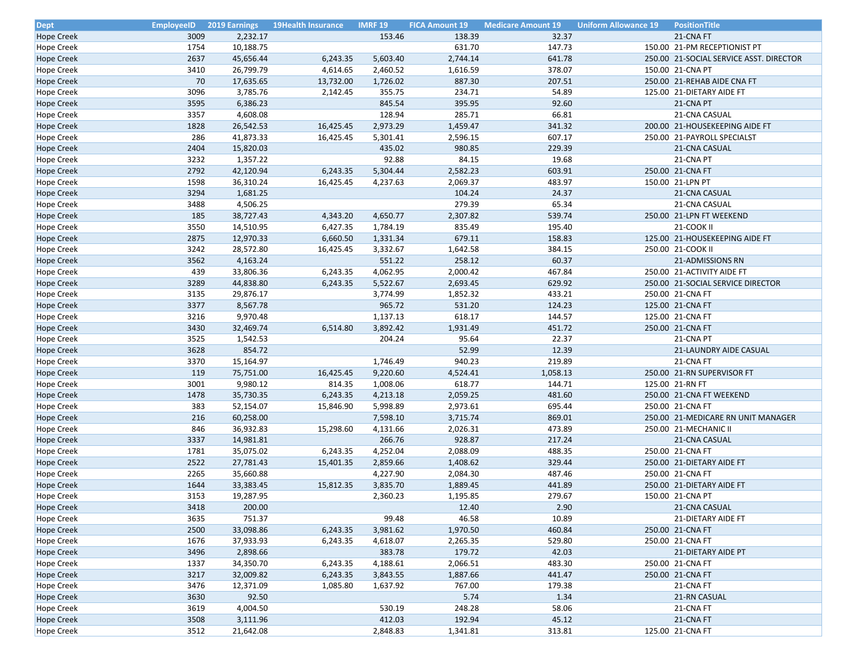| <b>Dept</b>       | <b>EmployeeID</b> | <b>2019 Earnings</b> | <b>19Health Insurance</b> | <b>IMRF 19</b> | <b>FICA Amount 19</b> | <b>Medicare Amount 19</b> | <b>Uniform Allowance 19</b> | <b>PositionTitle</b>                    |
|-------------------|-------------------|----------------------|---------------------------|----------------|-----------------------|---------------------------|-----------------------------|-----------------------------------------|
| Hope Creek        | 3009              | 2,232.17             |                           | 153.46         | 138.39                | 32.37                     |                             | 21-CNA FT                               |
| <b>Hope Creek</b> | 1754              | 10,188.75            |                           |                | 631.70                | 147.73                    |                             | 150.00 21-PM RECEPTIONIST PT            |
| <b>Hope Creek</b> | 2637              | 45,656.44            | 6,243.35                  | 5,603.40       | 2,744.14              | 641.78                    |                             | 250.00 21-SOCIAL SERVICE ASST. DIRECTOR |
| <b>Hope Creek</b> | 3410              | 26,799.79            | 4,614.65                  | 2,460.52       | 1,616.59              | 378.07                    |                             | 150.00 21-CNA PT                        |
| <b>Hope Creek</b> | 70                | 17,635.65            | 13,732.00                 | 1,726.02       | 887.30                | 207.51                    |                             | 250.00 21-REHAB AIDE CNA FT             |
| Hope Creek        | 3096              | 3,785.76             | 2,142.45                  | 355.75         | 234.71                | 54.89                     |                             | 125.00 21-DIETARY AIDE FT               |
| <b>Hope Creek</b> | 3595              | 6,386.23             |                           | 845.54         | 395.95                | 92.60                     |                             | 21-CNA PT                               |
| Hope Creek        | 3357              | 4,608.08             |                           | 128.94         | 285.71                | 66.81                     |                             | 21-CNA CASUAL                           |
| <b>Hope Creek</b> | 1828              | 26,542.53            | 16,425.45                 | 2,973.29       | 1,459.47              | 341.32                    |                             | 200.00 21-HOUSEKEEPING AIDE FT          |
| Hope Creek        | 286               | 41,873.33            | 16,425.45                 | 5,301.41       | 2,596.15              | 607.17                    |                             | 250.00 21-PAYROLL SPECIALST             |
| <b>Hope Creek</b> | 2404              | 15,820.03            |                           | 435.02         | 980.85                | 229.39                    |                             | 21-CNA CASUAL                           |
| <b>Hope Creek</b> | 3232              | 1,357.22             |                           | 92.88          | 84.15                 | 19.68                     |                             | 21-CNA PT                               |
| Hope Creek        | 2792              | 42,120.94            | 6,243.35                  | 5,304.44       | 2,582.23              | 603.91                    |                             | 250.00 21-CNA FT                        |
| Hope Creek        | 1598              | 36,310.24            | 16,425.45                 | 4,237.63       | 2,069.37              | 483.97                    |                             | 150.00 21-LPN PT                        |
| Hope Creek        | 3294              | 1,681.25             |                           |                | 104.24                | 24.37                     |                             | 21-CNA CASUAL                           |
| Hope Creek        | 3488              | 4,506.25             |                           |                | 279.39                | 65.34                     |                             | 21-CNA CASUAL                           |
| Hope Creek        | 185               | 38,727.43            | 4,343.20                  | 4,650.77       | 2,307.82              | 539.74                    |                             | 250.00 21-LPN FT WEEKEND                |
| Hope Creek        | 3550              | 14,510.95            | 6,427.35                  | 1,784.19       | 835.49                | 195.40                    |                             | 21-COOK II                              |
| <b>Hope Creek</b> | 2875              | 12,970.33            | 6,660.50                  | 1,331.34       | 679.11                | 158.83                    |                             | 125.00 21-HOUSEKEEPING AIDE FT          |
| <b>Hope Creek</b> | 3242              | 28,572.80            | 16,425.45                 | 3,332.67       | 1,642.58              | 384.15                    |                             | 250.00 21-COOK II                       |
| <b>Hope Creek</b> | 3562              | 4,163.24             |                           | 551.22         | 258.12                | 60.37                     |                             | 21-ADMISSIONS RN                        |
| <b>Hope Creek</b> | 439               | 33,806.36            | 6,243.35                  | 4,062.95       | 2,000.42              | 467.84                    |                             | 250.00 21-ACTIVITY AIDE FT              |
| <b>Hope Creek</b> | 3289              | 44,838.80            | 6,243.35                  | 5,522.67       | 2,693.45              | 629.92                    |                             | 250.00 21-SOCIAL SERVICE DIRECTOR       |
| <b>Hope Creek</b> | 3135              | 29,876.17            |                           | 3,774.99       | 1,852.32              | 433.21                    |                             | 250.00 21-CNA FT                        |
| <b>Hope Creek</b> | 3377              | 8,567.78             |                           | 965.72         | 531.20                | 124.23                    |                             | 125.00 21-CNA FT                        |
|                   |                   |                      |                           |                |                       |                           |                             |                                         |
| <b>Hope Creek</b> | 3216<br>3430      | 9,970.48             |                           | 1,137.13       | 618.17                | 144.57<br>451.72          |                             | 125.00 21-CNA FT                        |
| <b>Hope Creek</b> |                   | 32,469.74            | 6,514.80                  | 3,892.42       | 1,931.49              |                           |                             | 250.00 21-CNA FT                        |
| <b>Hope Creek</b> | 3525              | 1,542.53             |                           | 204.24         | 95.64                 | 22.37                     |                             | 21-CNA PT                               |
| <b>Hope Creek</b> | 3628              | 854.72               |                           |                | 52.99                 | 12.39                     |                             | 21-LAUNDRY AIDE CASUAL                  |
| <b>Hope Creek</b> | 3370              | 15,164.97            |                           | 1,746.49       | 940.23                | 219.89                    |                             | 21-CNA FT                               |
| Hope Creek        | 119               | 75,751.00            | 16,425.45                 | 9,220.60       | 4,524.41              | 1,058.13                  |                             | 250.00 21-RN SUPERVISOR FT              |
| <b>Hope Creek</b> | 3001              | 9,980.12             | 814.35                    | 1,008.06       | 618.77                | 144.71                    |                             | 125.00 21-RN FT                         |
| Hope Creek        | 1478              | 35,730.35            | 6,243.35                  | 4,213.18       | 2,059.25              | 481.60                    |                             | 250.00 21-CNA FT WEEKEND                |
| Hope Creek        | 383               | 52,154.07            | 15,846.90                 | 5,998.89       | 2,973.61              | 695.44                    |                             | 250.00 21-CNA FT                        |
| <b>Hope Creek</b> | 216               | 60,258.00            |                           | 7,598.10       | 3,715.74              | 869.01                    |                             | 250.00 21-MEDICARE RN UNIT MANAGER      |
| <b>Hope Creek</b> | 846               | 36,932.83            | 15,298.60                 | 4,131.66       | 2,026.31              | 473.89                    |                             | 250.00 21-MECHANIC II                   |
| Hope Creek        | 3337              | 14,981.81            |                           | 266.76         | 928.87                | 217.24                    |                             | 21-CNA CASUAL                           |
| <b>Hope Creek</b> | 1781              | 35,075.02            | 6,243.35                  | 4,252.04       | 2,088.09              | 488.35                    |                             | 250.00 21-CNA FT                        |
| <b>Hope Creek</b> | 2522              | 27,781.43            | 15,401.35                 | 2,859.66       | 1,408.62              | 329.44                    |                             | 250.00 21-DIETARY AIDE FT               |
| Hope Creek        | 2265              | 35,660.88            |                           | 4,227.90       | 2,084.30              | 487.46                    |                             | 250.00 21-CNA FT                        |
| <b>Hope Creek</b> | 1644              | 33,383.45            | 15,812.35                 | 3,835.70       | 1,889.45              | 441.89                    |                             | 250.00 21-DIETARY AIDE FT               |
| <b>Hope Creek</b> | 3153              | 19,287.95            |                           | 2,360.23       | 1,195.85              | 279.67                    |                             | 150.00 21-CNA PT                        |
| <b>Hope Creek</b> | 3418              | 200.00               |                           |                | 12.40                 | 2.90                      |                             | 21-CNA CASUAL                           |
| <b>Hope Creek</b> | 3635              | 751.37               |                           | 99.48          | 46.58                 | 10.89                     |                             | 21-DIETARY AIDE FT                      |
| <b>Hope Creek</b> | 2500              | 33,098.86            | 6,243.35                  | 3,981.62       | 1,970.50              | 460.84                    |                             | 250.00 21-CNA FT                        |
| <b>Hope Creek</b> | 1676              | 37,933.93            | 6,243.35                  | 4,618.07       | 2,265.35              | 529.80                    |                             | 250.00 21-CNA FT                        |
| <b>Hope Creek</b> | 3496              | 2,898.66             |                           | 383.78         | 179.72                | 42.03                     |                             | 21-DIETARY AIDE PT                      |
| <b>Hope Creek</b> | 1337              | 34,350.70            | 6,243.35                  | 4,188.61       | 2,066.51              | 483.30                    |                             | 250.00 21-CNA FT                        |
| <b>Hope Creek</b> | 3217              | 32,009.82            | 6,243.35                  | 3,843.55       | 1,887.66              | 441.47                    |                             | 250.00 21-CNA FT                        |
| <b>Hope Creek</b> | 3476              | 12,371.09            | 1,085.80                  | 1,637.92       | 767.00                | 179.38                    |                             | 21-CNA FT                               |
| <b>Hope Creek</b> | 3630              | 92.50                |                           |                | 5.74                  | 1.34                      |                             | 21-RN CASUAL                            |
| <b>Hope Creek</b> | 3619              | 4,004.50             |                           | 530.19         | 248.28                | 58.06                     |                             | 21-CNA FT                               |
| <b>Hope Creek</b> | 3508              | 3,111.96             |                           | 412.03         | 192.94                | 45.12                     |                             | 21-CNA FT                               |
| Hope Creek        | 3512              | 21,642.08            |                           | 2,848.83       | 1,341.81              | 313.81                    |                             | 125.00 21-CNA FT                        |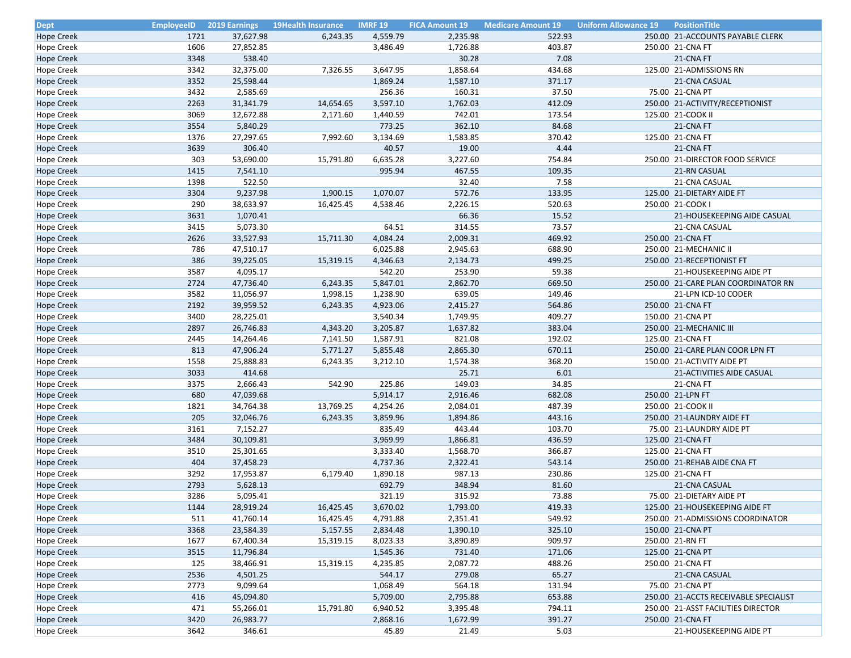| <b>Dept</b>                     | <b>EmployeeID</b> | <b>2019 Earnings</b> | <b>19Health Insurance</b> | <b>IMRF 19</b> | <b>FICA Amount 19</b> | <b>Medicare Amount 19</b> | <b>Uniform Allowance 19</b> | <b>PositionTitle</b>                  |
|---------------------------------|-------------------|----------------------|---------------------------|----------------|-----------------------|---------------------------|-----------------------------|---------------------------------------|
| Hope Creek                      | 1721              | 37,627.98            | 6,243.35                  | 4,559.79       | 2,235.98              | 522.93                    |                             | 250.00 21-ACCOUNTS PAYABLE CLERK      |
| Hope Creek                      | 1606              | 27,852.85            |                           | 3,486.49       | 1,726.88              | 403.87                    |                             | 250.00 21-CNA FT                      |
| <b>Hope Creek</b>               | 3348              | 538.40               |                           |                | 30.28                 | 7.08                      |                             | 21-CNA FT                             |
| <b>Hope Creek</b>               | 3342              | 32,375.00            | 7,326.55                  | 3,647.95       | 1,858.64              | 434.68                    |                             | 125.00 21-ADMISSIONS RN               |
| <b>Hope Creek</b>               | 3352              | 25,598.44            |                           | 1,869.24       | 1,587.10              | 371.17                    |                             | 21-CNA CASUAL                         |
| Hope Creek                      | 3432              | 2,585.69             |                           | 256.36         | 160.31                | 37.50                     |                             | 75.00 21-CNA PT                       |
| Hope Creek                      | 2263              | 31,341.79            | 14,654.65                 | 3,597.10       | 1,762.03              | 412.09                    |                             | 250.00 21-ACTIVITY/RECEPTIONIST       |
| Hope Creek                      | 3069              | 12,672.88            | 2,171.60                  | 1,440.59       | 742.01                | 173.54                    |                             | 125.00 21-COOK II                     |
| <b>Hope Creek</b>               | 3554              | 5,840.29             |                           | 773.25         | 362.10                | 84.68                     |                             | 21-CNA FT                             |
| <b>Hope Creek</b>               | 1376              | 27,297.65            | 7,992.60                  | 3,134.69       | 1,583.85              | 370.42                    |                             | 125.00 21-CNA FT                      |
| <b>Hope Creek</b>               | 3639              | 306.40               |                           | 40.57          | 19.00                 | 4.44                      |                             | 21-CNA FT                             |
| Hope Creek                      | 303               | 53,690.00            | 15,791.80                 | 6,635.28       | 3,227.60              | 754.84                    |                             | 250.00 21-DIRECTOR FOOD SERVICE       |
| Hope Creek                      | 1415              | 7,541.10             |                           | 995.94         | 467.55                | 109.35                    |                             | 21-RN CASUAL                          |
| Hope Creek                      | 1398              | 522.50               |                           |                | 32.40                 | 7.58                      |                             | 21-CNA CASUAL                         |
| <b>Hope Creek</b>               | 3304              | 9,237.98             | 1,900.15                  | 1,070.07       | 572.76                | 133.95                    |                             | 125.00 21-DIETARY AIDE FT             |
| <b>Hope Creek</b>               | 290               | 38,633.97            | 16,425.45                 | 4,538.46       | 2,226.15              | 520.63                    |                             | 250.00 21-COOK                        |
| <b>Hope Creek</b>               | 3631              | 1,070.41             |                           |                | 66.36                 | 15.52                     |                             | 21-HOUSEKEEPING AIDE CASUAL           |
| <b>Hope Creek</b>               | 3415              | 5,073.30             |                           | 64.51          | 314.55                | 73.57                     |                             | 21-CNA CASUAL                         |
| <b>Hope Creek</b>               | 2626              | 33,527.93            | 15,711.30                 | 4,084.24       | 2,009.31              | 469.92                    |                             | 250.00 21-CNA FT                      |
| <b>Hope Creek</b>               | 786               | 47,510.17            |                           | 6,025.88       | 2,945.63              | 688.90                    |                             | 250.00 21-MECHANIC II                 |
| <b>Hope Creek</b>               | 386               | 39,225.05            | 15,319.15                 | 4,346.63       | 2,134.73              | 499.25                    |                             | 250.00 21-RECEPTIONIST FT             |
| <b>Hope Creek</b>               | 3587              | 4,095.17             |                           | 542.20         | 253.90                | 59.38                     |                             | 21-HOUSEKEEPING AIDE PT               |
| <b>Hope Creek</b>               | 2724              | 47,736.40            | 6,243.35                  | 5,847.01       | 2,862.70              | 669.50                    |                             | 250.00 21-CARE PLAN COORDINATOR RN    |
| <b>Hope Creek</b>               | 3582              | 11,056.97            | 1,998.15                  | 1,238.90       | 639.05                | 149.46                    |                             | 21-LPN ICD-10 CODER                   |
| Hope Creek                      | 2192              | 39,959.52            | 6,243.35                  | 4,923.06       | 2,415.27              | 564.86                    |                             | 250.00 21-CNA FT                      |
| Hope Creek                      | 3400              | 28,225.01            |                           | 3,540.34       | 1,749.95              | 409.27                    |                             | 150.00 21-CNA PT                      |
| <b>Hope Creek</b>               | 2897              | 26,746.83            | 4,343.20                  | 3,205.87       | 1,637.82              | 383.04                    |                             | 250.00 21-MECHANIC III                |
| <b>Hope Creek</b>               | 2445              | 14,264.46            | 7,141.50                  | 1,587.91       | 821.08                | 192.02                    |                             | 125.00 21-CNA FT                      |
| <b>Hope Creek</b>               | 813               | 47,906.24            | 5,771.27                  | 5,855.48       | 2,865.30              | 670.11                    |                             | 250.00 21-CARE PLAN COOR LPN FT       |
| <b>Hope Creek</b>               | 1558              | 25,888.83            | 6,243.35                  | 3,212.10       | 1,574.38              | 368.20                    |                             | 150.00 21-ACTIVITY AIDE PT            |
| <b>Hope Creek</b>               | 3033              | 414.68               |                           |                | 25.71                 | 6.01                      |                             | 21-ACTIVITIES AIDE CASUAL             |
| Hope Creek                      | 3375              | 2,666.43             | 542.90                    | 225.86         | 149.03                | 34.85                     |                             | 21-CNA FT                             |
| Hope Creek                      | 680               | 47,039.68            |                           | 5,914.17       | 2,916.46              | 682.08                    |                             | 250.00 21-LPN FT                      |
| Hope Creek                      | 1821              | 34,764.38            | 13,769.25                 | 4,254.26       | 2,084.01              | 487.39                    |                             | 250.00 21-COOK II                     |
| <b>Hope Creek</b>               | 205               | 32,046.76            | 6,243.35                  | 3,859.96       | 1,894.86              | 443.16                    |                             | 250.00 21-LAUNDRY AIDE FT             |
|                                 | 3161              | 7,152.27             |                           | 835.49         | 443.44                | 103.70                    |                             | 75.00 21-LAUNDRY AIDE PT              |
| Hope Creek<br><b>Hope Creek</b> | 3484              | 30,109.81            |                           | 3,969.99       | 1,866.81              | 436.59                    |                             | 125.00 21-CNA FT                      |
| <b>Hope Creek</b>               | 3510              | 25,301.65            |                           | 3,333.40       | 1,568.70              | 366.87                    |                             | 125.00 21-CNA FT                      |
| <b>Hope Creek</b>               | 404               | 37,458.23            |                           | 4,737.36       | 2,322.41              | 543.14                    |                             | 250.00 21-REHAB AIDE CNA FT           |
| <b>Hope Creek</b>               | 3292              | 17,953.87            | 6,179.40                  | 1,890.18       | 987.13                | 230.86                    |                             | 125.00 21-CNA FT                      |
| <b>Hope Creek</b>               | 2793              | 5,628.13             |                           | 692.79         | 348.94                | 81.60                     |                             | 21-CNA CASUAL                         |
|                                 | 3286              | 5,095.41             |                           | 321.19         | 315.92                | 73.88                     |                             | 75.00 21-DIETARY AIDE PT              |
| <b>Hope Creek</b>               |                   |                      |                           |                |                       |                           |                             |                                       |
| <b>Hope Creek</b>               | 1144              | 28,919.24            | 16,425.45                 | 3,670.02       | 1,793.00              | 419.33                    |                             | 125.00 21-HOUSEKEEPING AIDE FT        |
| <b>Hope Creek</b>               | 511               | 41,760.14            | 16,425.45                 | 4,791.88       | 2,351.41              | 549.92                    |                             | 250.00 21-ADMISSIONS COORDINATOR      |
| <b>Hope Creek</b>               | 3368              | 23,584.39            | 5,157.55                  | 2,834.48       | 1,390.10              | 325.10                    |                             | 150.00 21-CNA PT                      |
| <b>Hope Creek</b>               | 1677              | 67,400.34            | 15,319.15                 | 8,023.33       | 3,890.89              | 909.97                    |                             | 250.00 21-RN FT                       |
| <b>Hope Creek</b>               | 3515              | 11,796.84            |                           | 1,545.36       | 731.40                | 171.06                    |                             | 125.00 21-CNA PT                      |
| <b>Hope Creek</b>               | 125               | 38,466.91            | 15,319.15                 | 4,235.85       | 2,087.72              | 488.26                    |                             | 250.00 21-CNA FT                      |
| <b>Hope Creek</b>               | 2536              | 4,501.25             |                           | 544.17         | 279.08                | 65.27                     |                             | 21-CNA CASUAL                         |
| <b>Hope Creek</b>               | 2773              | 9,099.64             |                           | 1,068.49       | 564.18                | 131.94                    |                             | 75.00 21-CNA PT                       |
| <b>Hope Creek</b>               | 416               | 45,094.80            |                           | 5,709.00       | 2,795.88              | 653.88                    |                             | 250.00 21-ACCTS RECEIVABLE SPECIALIST |
| <b>Hope Creek</b>               | 471               | 55,266.01            | 15,791.80                 | 6,940.52       | 3,395.48              | 794.11                    |                             | 250.00 21-ASST FACILITIES DIRECTOR    |
| <b>Hope Creek</b>               | 3420              | 26,983.77            |                           | 2,868.16       | 1,672.99              | 391.27                    |                             | 250.00 21-CNA FT                      |
| <b>Hope Creek</b>               | 3642              | 346.61               |                           | 45.89          | 21.49                 | 5.03                      |                             | 21-HOUSEKEEPING AIDE PT               |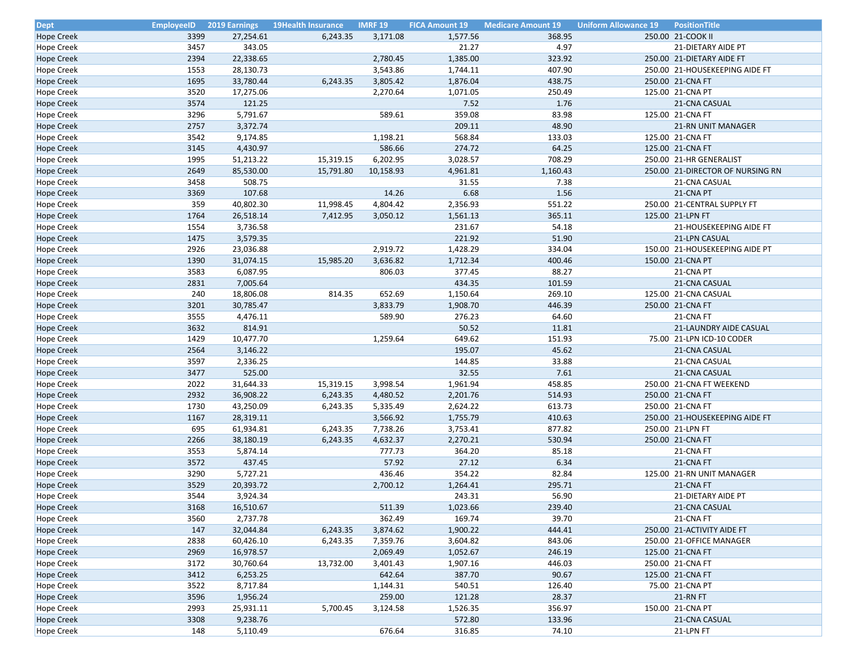| <b>Dept</b>                     | <b>EmployeeID</b> | <b>2019 Earnings</b> | <b>19Health Insurance</b> | <b>IMRF 19</b> | <b>FICA Amount 19</b> | <b>Medicare Amount 19</b> | <b>Uniform Allowance 19</b> | <b>PositionTitle</b>             |
|---------------------------------|-------------------|----------------------|---------------------------|----------------|-----------------------|---------------------------|-----------------------------|----------------------------------|
| Hope Creek                      | 3399              | 27,254.61            | 6,243.35                  | 3,171.08       | 1,577.56              | 368.95                    |                             | 250.00 21-COOK II                |
| <b>Hope Creek</b>               | 3457              | 343.05               |                           |                | 21.27                 | 4.97                      |                             | 21-DIETARY AIDE PT               |
| <b>Hope Creek</b>               | 2394              | 22,338.65            |                           | 2,780.45       | 1,385.00              | 323.92                    |                             | 250.00 21-DIETARY AIDE FT        |
| <b>Hope Creek</b>               | 1553              | 28,130.73            |                           | 3,543.86       | 1,744.11              | 407.90                    |                             | 250.00 21-HOUSEKEEPING AIDE FT   |
| <b>Hope Creek</b>               | 1695              | 33,780.44            | 6,243.35                  | 3,805.42       | 1,876.04              | 438.75                    |                             | 250.00 21-CNA FT                 |
| Hope Creek                      | 3520              | 17,275.06            |                           | 2,270.64       | 1,071.05              | 250.49                    |                             | 125.00 21-CNA PT                 |
| <b>Hope Creek</b>               | 3574              | 121.25               |                           |                | 7.52                  | 1.76                      |                             | 21-CNA CASUAL                    |
| <b>Hope Creek</b>               | 3296              | 5,791.67             |                           | 589.61         | 359.08                | 83.98                     |                             | 125.00 21-CNA FT                 |
| <b>Hope Creek</b>               | 2757              | 3,372.74             |                           |                | 209.11                | 48.90                     |                             | <b>21-RN UNIT MANAGER</b>        |
| Hope Creek                      | 3542              | 9,174.85             |                           | 1,198.21       | 568.84                | 133.03                    |                             | 125.00 21-CNA FT                 |
| <b>Hope Creek</b>               | 3145              | 4,430.97             |                           | 586.66         | 274.72                | 64.25                     |                             | 125.00 21-CNA FT                 |
| Hope Creek                      | 1995              | 51,213.22            | 15,319.15                 | 6,202.95       | 3,028.57              | 708.29                    |                             | 250.00 21-HR GENERALIST          |
| <b>Hope Creek</b>               | 2649              | 85,530.00            | 15,791.80                 | 10,158.93      | 4,961.81              | 1,160.43                  |                             | 250.00 21-DIRECTOR OF NURSING RN |
| Hope Creek                      | 3458              | 508.75               |                           |                | 31.55                 | 7.38                      |                             | 21-CNA CASUAL                    |
| Hope Creek                      | 3369              | 107.68               |                           | 14.26          | 6.68                  | 1.56                      |                             | 21-CNA PT                        |
| Hope Creek                      | 359               | 40,802.30            | 11,998.45                 | 4,804.42       | 2,356.93              | 551.22                    |                             | 250.00 21-CENTRAL SUPPLY FT      |
| Hope Creek                      | 1764              | 26,518.14            | 7,412.95                  | 3,050.12       | 1,561.13              | 365.11                    |                             | 125.00 21-LPN FT                 |
| Hope Creek                      | 1554              | 3,736.58             |                           |                | 231.67                | 54.18                     |                             | 21-HOUSEKEEPING AIDE FT          |
| <b>Hope Creek</b>               | 1475              | 3,579.35             |                           |                | 221.92                | 51.90                     |                             | 21-LPN CASUAL                    |
| <b>Hope Creek</b>               | 2926              | 23,036.88            |                           | 2,919.72       | 1,428.29              | 334.04                    |                             | 150.00 21-HOUSEKEEPING AIDE PT   |
| Hope Creek                      | 1390              | 31,074.15            | 15,985.20                 | 3,636.82       | 1,712.34              | 400.46                    |                             | 150.00 21-CNA PT                 |
|                                 | 3583              | 6,087.95             |                           | 806.03         | 377.45                | 88.27                     |                             | 21-CNA PT                        |
| Hope Creek<br><b>Hope Creek</b> | 2831              | 7,005.64             |                           |                | 434.35                | 101.59                    |                             | 21-CNA CASUAL                    |
|                                 | 240               |                      |                           | 652.69         |                       | 269.10                    |                             |                                  |
| <b>Hope Creek</b>               | 3201              | 18,806.08            | 814.35                    |                | 1,150.64              |                           |                             | 125.00 21-CNA CASUAL             |
| <b>Hope Creek</b>               |                   | 30,785.47            |                           | 3,833.79       | 1,908.70              | 446.39                    |                             | 250.00 21-CNA FT                 |
| <b>Hope Creek</b>               | 3555              | 4,476.11             |                           | 589.90         | 276.23                | 64.60                     |                             | 21-CNA FT                        |
| <b>Hope Creek</b>               | 3632              | 814.91               |                           |                | 50.52                 | 11.81                     |                             | 21-LAUNDRY AIDE CASUAL           |
| <b>Hope Creek</b>               | 1429              | 10,477.70            |                           | 1,259.64       | 649.62                | 151.93                    |                             | 75.00 21-LPN ICD-10 CODER        |
| <b>Hope Creek</b>               | 2564              | 3,146.22             |                           |                | 195.07                | 45.62                     |                             | 21-CNA CASUAL                    |
| <b>Hope Creek</b>               | 3597              | 2,336.25             |                           |                | 144.85                | 33.88                     |                             | 21-CNA CASUAL                    |
| <b>Hope Creek</b>               | 3477              | 525.00               |                           |                | 32.55                 | 7.61                      |                             | 21-CNA CASUAL                    |
| Hope Creek                      | 2022              | 31,644.33            | 15,319.15                 | 3,998.54       | 1,961.94              | 458.85                    |                             | 250.00 21-CNA FT WEEKEND         |
| <b>Hope Creek</b>               | 2932              | 36,908.22            | 6,243.35                  | 4,480.52       | 2,201.76              | 514.93                    |                             | 250.00 21-CNA FT                 |
| Hope Creek                      | 1730              | 43,250.09            | 6,243.35                  | 5,335.49       | 2,624.22              | 613.73                    |                             | 250.00 21-CNA FT                 |
| <b>Hope Creek</b>               | 1167              | 28,319.11            |                           | 3,566.92       | 1,755.79              | 410.63                    |                             | 250.00 21-HOUSEKEEPING AIDE FT   |
| Hope Creek                      | 695               | 61,934.81            | 6,243.35                  | 7,738.26       | 3,753.41              | 877.82                    |                             | 250.00 21-LPN FT                 |
| <b>Hope Creek</b>               | 2266              | 38,180.19            | 6,243.35                  | 4,632.37       | 2,270.21              | 530.94                    |                             | 250.00 21-CNA FT                 |
| Hope Creek                      | 3553              | 5,874.14             |                           | 777.73         | 364.20                | 85.18                     |                             | 21-CNA FT                        |
| Hope Creek                      | 3572              | 437.45               |                           | 57.92          | 27.12                 | 6.34                      |                             | 21-CNA FT                        |
| Hope Creek                      | 3290              | 5,727.21             |                           | 436.46         | 354.22                | 82.84                     |                             | 125.00 21-RN UNIT MANAGER        |
| <b>Hope Creek</b>               | 3529              | 20,393.72            |                           | 2,700.12       | 1,264.41              | 295.71                    |                             | 21-CNA FT                        |
| Hope Creek                      | 3544              | 3,924.34             |                           |                | 243.31                | 56.90                     |                             | <b>21-DIETARY AIDE PT</b>        |
| <b>Hope Creek</b>               | 3168              | 16,510.67            |                           | 511.39         | 1,023.66              | 239.40                    |                             | 21-CNA CASUAL                    |
| <b>Hope Creek</b>               | 3560              | 2,737.78             |                           | 362.49         | 169.74                | 39.70                     |                             | 21-CNA FT                        |
| <b>Hope Creek</b>               | 147               | 32,044.84            | 6,243.35                  | 3,874.62       | 1,900.22              | 444.41                    |                             | 250.00 21-ACTIVITY AIDE FT       |
| <b>Hope Creek</b>               | 2838              | 60,426.10            | 6,243.35                  | 7,359.76       | 3,604.82              | 843.06                    |                             | 250.00 21-OFFICE MANAGER         |
| <b>Hope Creek</b>               | 2969              | 16,978.57            |                           | 2,069.49       | 1,052.67              | 246.19                    |                             | 125.00 21-CNA FT                 |
| <b>Hope Creek</b>               | 3172              | 30,760.64            | 13,732.00                 | 3,401.43       | 1,907.16              | 446.03                    |                             | 250.00 21-CNA FT                 |
| <b>Hope Creek</b>               | 3412              | 6,253.25             |                           | 642.64         | 387.70                | 90.67                     |                             | 125.00 21-CNA FT                 |
| Hope Creek                      | 3522              | 8,717.84             |                           | 1,144.31       | 540.51                | 126.40                    |                             | 75.00 21-CNA PT                  |
| <b>Hope Creek</b>               | 3596              | 1,956.24             |                           | 259.00         | 121.28                | 28.37                     |                             | 21-RN FT                         |
| <b>Hope Creek</b>               | 2993              | 25,931.11            | 5,700.45                  | 3,124.58       | 1,526.35              | 356.97                    |                             | 150.00 21-CNA PT                 |
| <b>Hope Creek</b>               | 3308              | 9,238.76             |                           |                | 572.80                | 133.96                    |                             | 21-CNA CASUAL                    |
| Hope Creek                      | 148               | 5,110.49             |                           | 676.64         | 316.85                | 74.10                     |                             | 21-LPN FT                        |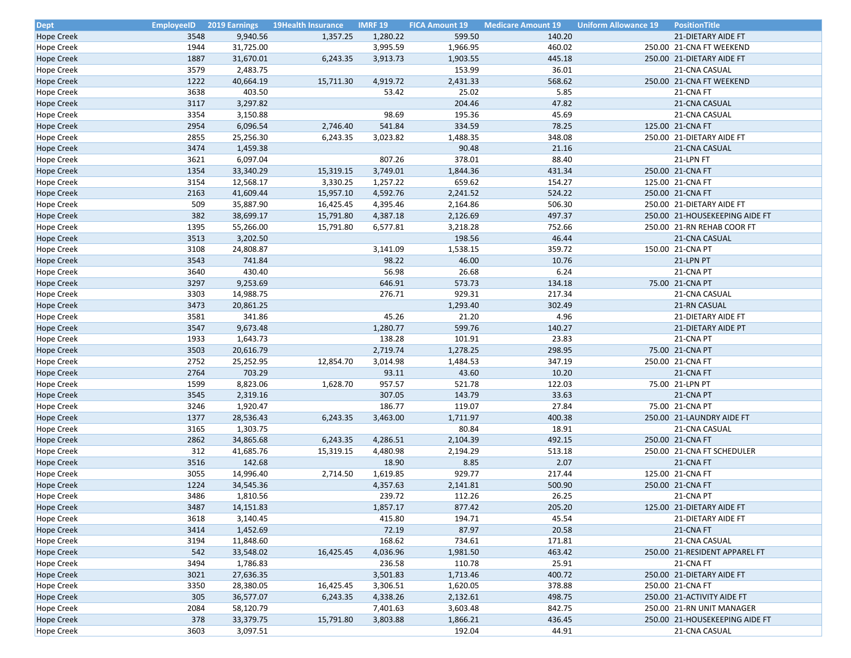| <b>Dept</b>       | <b>EmployeeID</b> | <b>2019 Earnings</b> | <b>19Health Insurance</b> | <b>IMRF 19</b> | <b>FICA Amount 19</b> | <b>Medicare Amount 19</b> | <b>Uniform Allowance 19</b> | <b>PositionTitle</b>           |
|-------------------|-------------------|----------------------|---------------------------|----------------|-----------------------|---------------------------|-----------------------------|--------------------------------|
| <b>Hope Creek</b> | 3548              | 9,940.56             | 1,357.25                  | 1,280.22       | 599.50                | 140.20                    |                             | 21-DIETARY AIDE FT             |
| Hope Creek        | 1944              | 31,725.00            |                           | 3,995.59       | 1,966.95              | 460.02                    |                             | 250.00 21-CNA FT WEEKEND       |
| <b>Hope Creek</b> | 1887              | 31,670.01            | 6,243.35                  | 3,913.73       | 1,903.55              | 445.18                    |                             | 250.00 21-DIETARY AIDE FT      |
| <b>Hope Creek</b> | 3579              | 2,483.75             |                           |                | 153.99                | 36.01                     |                             | 21-CNA CASUAL                  |
| <b>Hope Creek</b> | 1222              | 40,664.19            | 15,711.30                 | 4,919.72       | 2,431.33              | 568.62                    |                             | 250.00 21-CNA FT WEEKEND       |
| Hope Creek        | 3638              | 403.50               |                           | 53.42          | 25.02                 | 5.85                      |                             | 21-CNA FT                      |
| <b>Hope Creek</b> | 3117              | 3,297.82             |                           |                | 204.46                | 47.82                     |                             | 21-CNA CASUAL                  |
| Hope Creek        | 3354              | 3,150.88             |                           | 98.69          | 195.36                | 45.69                     |                             | 21-CNA CASUAL                  |
| <b>Hope Creek</b> | 2954              | 6,096.54             | 2,746.40                  | 541.84         | 334.59                | 78.25                     |                             | 125.00 21-CNA FT               |
| <b>Hope Creek</b> | 2855              | 25,256.30            | 6,243.35                  | 3,023.82       | 1,488.35              | 348.08                    |                             | 250.00 21-DIETARY AIDE FT      |
| <b>Hope Creek</b> | 3474              | 1,459.38             |                           |                | 90.48                 | 21.16                     |                             | 21-CNA CASUAL                  |
| Hope Creek        | 3621              | 6,097.04             |                           | 807.26         | 378.01                | 88.40                     |                             | 21-LPN FT                      |
| Hope Creek        | 1354              | 33,340.29            | 15,319.15                 | 3,749.01       | 1,844.36              | 431.34                    |                             | 250.00 21-CNA FT               |
| Hope Creek        | 3154              | 12,568.17            | 3,330.25                  | 1,257.22       | 659.62                | 154.27                    |                             | 125.00 21-CNA FT               |
| <b>Hope Creek</b> | 2163              | 41,609.44            | 15,957.10                 | 4,592.76       | 2,241.52              | 524.22                    |                             | 250.00 21-CNA FT               |
| Hope Creek        | 509               | 35,887.90            | 16,425.45                 | 4,395.46       | 2,164.86              | 506.30                    |                             | 250.00 21-DIETARY AIDE FT      |
| <b>Hope Creek</b> | 382               | 38,699.17            | 15,791.80                 | 4,387.18       | 2,126.69              | 497.37                    |                             | 250.00 21-HOUSEKEEPING AIDE FT |
| Hope Creek        | 1395              | 55,266.00            | 15,791.80                 | 6,577.81       | 3,218.28              | 752.66                    |                             | 250.00 21-RN REHAB COOR FT     |
| Hope Creek        | 3513              | 3,202.50             |                           |                | 198.56                | 46.44                     |                             | 21-CNA CASUAL                  |
| Hope Creek        | 3108              | 24,808.87            |                           | 3,141.09       | 1,538.15              | 359.72                    |                             | 150.00 21-CNA PT               |
| Hope Creek        | 3543              | 741.84               |                           | 98.22          | 46.00                 | 10.76                     |                             | 21-LPN PT                      |
| Hope Creek        | 3640              | 430.40               |                           | 56.98          | 26.68                 | 6.24                      |                             | 21-CNA PT                      |
| <b>Hope Creek</b> | 3297              | 9,253.69             |                           | 646.91         | 573.73                | 134.18                    |                             | 75.00 21-CNA PT                |
| Hope Creek        | 3303              | 14,988.75            |                           | 276.71         | 929.31                | 217.34                    |                             | 21-CNA CASUAL                  |
| <b>Hope Creek</b> | 3473              | 20,861.25            |                           |                | 1,293.40              | 302.49                    |                             | 21-RN CASUAL                   |
| <b>Hope Creek</b> | 3581              | 341.86               |                           | 45.26          | 21.20                 | 4.96                      |                             | 21-DIETARY AIDE FT             |
| <b>Hope Creek</b> | 3547              | 9,673.48             |                           | 1,280.77       | 599.76                | 140.27                    |                             | 21-DIETARY AIDE PT             |
| <b>Hope Creek</b> | 1933              | 1,643.73             |                           | 138.28         | 101.91                | 23.83                     |                             | 21-CNA PT                      |
| <b>Hope Creek</b> | 3503              | 20,616.79            |                           | 2,719.74       | 1,278.25              | 298.95                    |                             | 75.00 21-CNA PT                |
| <b>Hope Creek</b> | 2752              | 25,252.95            | 12,854.70                 | 3,014.98       | 1,484.53              | 347.19                    |                             | 250.00 21-CNA FT               |
| <b>Hope Creek</b> | 2764              | 703.29               |                           | 93.11          | 43.60                 | 10.20                     |                             | 21-CNA FT                      |
| <b>Hope Creek</b> | 1599              | 8,823.06             | 1,628.70                  | 957.57         | 521.78                | 122.03                    |                             | 75.00 21-LPN PT                |
| <b>Hope Creek</b> | 3545              | 2,319.16             |                           | 307.05         | 143.79                | 33.63                     |                             | 21-CNA PT                      |
|                   | 3246              |                      |                           | 186.77         | 119.07                | 27.84                     |                             | 75.00 21-CNA PT                |
| <b>Hope Creek</b> | 1377              | 1,920.47             |                           |                |                       |                           |                             |                                |
| <b>Hope Creek</b> |                   | 28,536.43            | 6,243.35                  | 3,463.00       | 1,711.97              | 400.38                    |                             | 250.00 21-LAUNDRY AIDE FT      |
| <b>Hope Creek</b> | 3165              | 1,303.75             |                           |                | 80.84                 | 18.91                     |                             | 21-CNA CASUAL                  |
| <b>Hope Creek</b> | 2862<br>312       | 34,865.68            | 6,243.35                  | 4,286.51       | 2,104.39              | 492.15                    |                             | 250.00 21-CNA FT               |
| Hope Creek        |                   | 41,685.76            | 15,319.15                 | 4,480.98       | 2,194.29              | 513.18                    |                             | 250.00 21-CNA FT SCHEDULER     |
| <b>Hope Creek</b> | 3516              | 142.68               |                           | 18.90          | 8.85                  | 2.07                      |                             | 21-CNA FT                      |
| Hope Creek        | 3055              | 14,996.40            | 2,714.50                  | 1,619.85       | 929.77                | 217.44                    |                             | 125.00 21-CNA FT               |
| <b>Hope Creek</b> | 1224              | 34,545.36            |                           | 4,357.63       | 2,141.81              | 500.90                    |                             | 250.00 21-CNA FT               |
| <b>Hope Creek</b> | 3486              | 1,810.56             |                           | 239.72         | 112.26                | 26.25                     |                             | 21-CNA PT                      |
| <b>Hope Creek</b> | 3487              | 14,151.83            |                           | 1,857.17       | 877.42                | 205.20                    |                             | 125.00 21-DIETARY AIDE FT      |
| <b>Hope Creek</b> | 3618              | 3,140.45             |                           | 415.80         | 194.71                | 45.54                     |                             | 21-DIETARY AIDE FT             |
| <b>Hope Creek</b> | 3414              | 1,452.69             |                           | 72.19          | 87.97                 | 20.58                     |                             | 21-CNA FT                      |
| <b>Hope Creek</b> | 3194              | 11,848.60            |                           | 168.62         | 734.61                | 171.81                    |                             | 21-CNA CASUAL                  |
| <b>Hope Creek</b> | 542               | 33,548.02            | 16,425.45                 | 4,036.96       | 1,981.50              | 463.42                    |                             | 250.00 21-RESIDENT APPAREL FT  |
| Hope Creek        | 3494              | 1,786.83             |                           | 236.58         | 110.78                | 25.91                     |                             | 21-CNA FT                      |
| <b>Hope Creek</b> | 3021              | 27,636.35            |                           | 3,501.83       | 1,713.46              | 400.72                    |                             | 250.00 21-DIETARY AIDE FT      |
| <b>Hope Creek</b> | 3350              | 28,380.05            | 16,425.45                 | 3,306.51       | 1,620.05              | 378.88                    |                             | 250.00 21-CNA FT               |
| <b>Hope Creek</b> | 305               | 36,577.07            | 6,243.35                  | 4,338.26       | 2,132.61              | 498.75                    |                             | 250.00 21-ACTIVITY AIDE FT     |
| <b>Hope Creek</b> | 2084              | 58,120.79            |                           | 7,401.63       | 3,603.48              | 842.75                    |                             | 250.00 21-RN UNIT MANAGER      |
| <b>Hope Creek</b> | 378               | 33,379.75            | 15,791.80                 | 3,803.88       | 1,866.21              | 436.45                    |                             | 250.00 21-HOUSEKEEPING AIDE FT |
| Hope Creek        | 3603              | 3,097.51             |                           |                | 192.04                | 44.91                     |                             | 21-CNA CASUAL                  |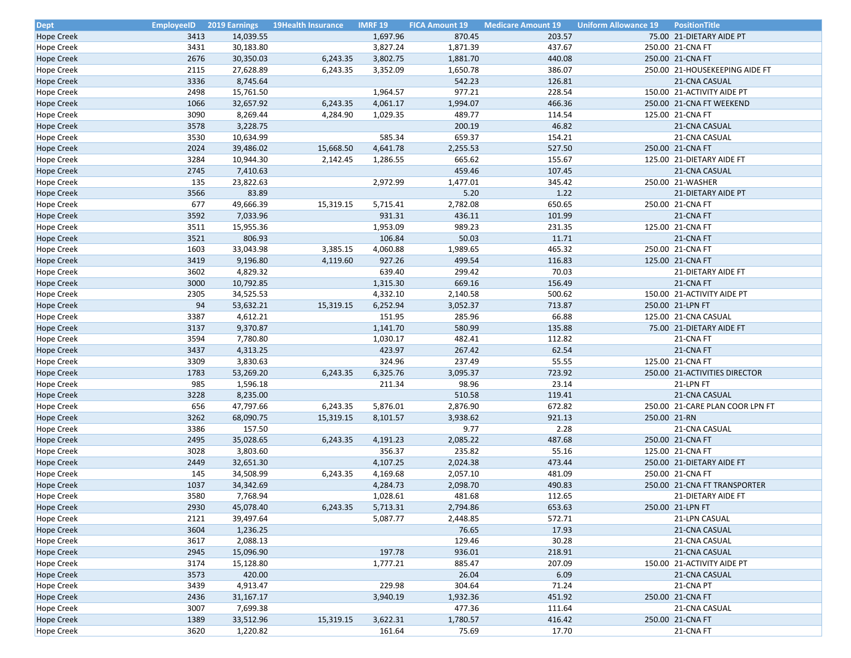| <b>Dept</b>                     | <b>EmployeeID</b> | <b>2019 Earnings</b> | <b>19Health Insurance</b> | <b>IMRF 19</b> | <b>FICA Amount 19</b> | <b>Medicare Amount 19</b> | <b>Uniform Allowance 19</b> | <b>PositionTitle</b>            |
|---------------------------------|-------------------|----------------------|---------------------------|----------------|-----------------------|---------------------------|-----------------------------|---------------------------------|
| Hope Creek                      | 3413              | 14,039.55            |                           | 1,697.96       | 870.45                | 203.57                    |                             | 75.00 21-DIETARY AIDE PT        |
| Hope Creek                      | 3431              | 30,183.80            |                           | 3,827.24       | 1,871.39              | 437.67                    |                             | 250.00 21-CNA FT                |
| <b>Hope Creek</b>               | 2676              | 30,350.03            | 6,243.35                  | 3,802.75       | 1,881.70              | 440.08                    |                             | 250.00 21-CNA FT                |
| <b>Hope Creek</b>               | 2115              | 27,628.89            | 6,243.35                  | 3,352.09       | 1,650.78              | 386.07                    |                             | 250.00 21-HOUSEKEEPING AIDE FT  |
| <b>Hope Creek</b>               | 3336              | 8,745.64             |                           |                | 542.23                | 126.81                    |                             | 21-CNA CASUAL                   |
| Hope Creek                      | 2498              | 15,761.50            |                           | 1,964.57       | 977.21                | 228.54                    |                             | 150.00 21-ACTIVITY AIDE PT      |
| Hope Creek                      | 1066              | 32,657.92            | 6,243.35                  | 4,061.17       | 1,994.07              | 466.36                    |                             | 250.00 21-CNA FT WEEKEND        |
| Hope Creek                      | 3090              | 8,269.44             | 4,284.90                  | 1,029.35       | 489.77                | 114.54                    |                             | 125.00 21-CNA FT                |
| Hope Creek                      | 3578              | 3,228.75             |                           |                | 200.19                | 46.82                     |                             | 21-CNA CASUAL                   |
| Hope Creek                      | 3530              | 10,634.99            |                           | 585.34         | 659.37                | 154.21                    |                             | 21-CNA CASUAL                   |
| <b>Hope Creek</b>               | 2024              | 39,486.02            | 15,668.50                 | 4,641.78       | 2,255.53              | 527.50                    |                             | 250.00 21-CNA FT                |
| Hope Creek                      | 3284              | 10,944.30            | 2,142.45                  | 1,286.55       | 665.62                | 155.67                    |                             | 125.00 21-DIETARY AIDE FT       |
| Hope Creek                      | 2745              | 7,410.63             |                           |                | 459.46                | 107.45                    |                             | 21-CNA CASUAL                   |
| Hope Creek                      | 135               | 23,822.63            |                           | 2,972.99       | 1,477.01              | 345.42                    |                             | 250.00 21-WASHER                |
| <b>Hope Creek</b>               | 3566              | 83.89                |                           |                | 5.20                  | 1.22                      |                             | 21-DIETARY AIDE PT              |
| <b>Hope Creek</b>               | 677               | 49,666.39            | 15,319.15                 | 5,715.41       | 2,782.08              | 650.65                    |                             | 250.00 21-CNA FT                |
| <b>Hope Creek</b>               | 3592              | 7,033.96             |                           | 931.31         | 436.11                | 101.99                    |                             | 21-CNA FT                       |
| Hope Creek                      | 3511              | 15,955.36            |                           | 1,953.09       | 989.23                | 231.35                    |                             | 125.00 21-CNA FT                |
| <b>Hope Creek</b>               | 3521              | 806.93               |                           | 106.84         | 50.03                 | 11.71                     |                             | 21-CNA FT                       |
| Hope Creek                      | 1603              | 33,043.98            | 3,385.15                  | 4,060.88       | 1,989.65              | 465.32                    |                             | 250.00 21-CNA FT                |
| <b>Hope Creek</b>               | 3419              | 9,196.80             | 4,119.60                  | 927.26         | 499.54                | 116.83                    |                             | 125.00 21-CNA FT                |
| <b>Hope Creek</b>               | 3602              | 4,829.32             |                           | 639.40         | 299.42                | 70.03                     |                             | 21-DIETARY AIDE FT              |
| <b>Hope Creek</b>               | 3000              | 10,792.85            |                           | 1,315.30       | 669.16                | 156.49                    |                             | 21-CNA FT                       |
| <b>Hope Creek</b>               | 2305              | 34,525.53            |                           | 4,332.10       | 2,140.58              | 500.62                    |                             | 150.00 21-ACTIVITY AIDE PT      |
|                                 | 94                | 53,632.21            | 15,319.15                 | 6,252.94       | 3,052.37              | 713.87                    |                             | 250.00 21-LPN FT                |
| Hope Creek                      | 3387              |                      |                           | 151.95         | 285.96                | 66.88                     |                             |                                 |
| Hope Creek<br><b>Hope Creek</b> | 3137              | 4,612.21             |                           |                |                       | 135.88                    |                             | 125.00 21-CNA CASUAL            |
|                                 |                   | 9,370.87             |                           | 1,141.70       | 580.99                |                           |                             | 75.00 21-DIETARY AIDE FT        |
| Hope Creek                      | 3594              | 7,780.80             |                           | 1,030.17       | 482.41                | 112.82                    |                             | 21-CNA FT                       |
| <b>Hope Creek</b>               | 3437              | 4,313.25             |                           | 423.97         | 267.42                | 62.54                     |                             | 21-CNA FT                       |
| <b>Hope Creek</b>               | 3309              | 3,830.63             |                           | 324.96         | 237.49                | 55.55                     |                             | 125.00 21-CNA FT                |
| Hope Creek                      | 1783              | 53,269.20            | 6,243.35                  | 6,325.76       | 3,095.37              | 723.92                    |                             | 250.00 21-ACTIVITIES DIRECTOR   |
| Hope Creek                      | 985               | 1,596.18             |                           | 211.34         | 98.96                 | 23.14                     |                             | 21-LPN FT                       |
| Hope Creek                      | 3228              | 8,235.00             |                           |                | 510.58                | 119.41                    |                             | 21-CNA CASUAL                   |
| Hope Creek                      | 656               | 47,797.66            | 6,243.35                  | 5,876.01       | 2,876.90              | 672.82                    |                             | 250.00 21-CARE PLAN COOR LPN FT |
| Hope Creek                      | 3262              | 68,090.75            | 15,319.15                 | 8,101.57       | 3,938.62              | 921.13                    |                             | 250.00 21-RN                    |
| Hope Creek                      | 3386              | 157.50               |                           |                | 9.77                  | 2.28                      |                             | 21-CNA CASUAL                   |
| <b>Hope Creek</b>               | 2495              | 35,028.65            | 6,243.35                  | 4,191.23       | 2,085.22              | 487.68                    |                             | 250.00 21-CNA FT                |
| Hope Creek                      | 3028              | 3,803.60             |                           | 356.37         | 235.82                | 55.16                     |                             | 125.00 21-CNA FT                |
| <b>Hope Creek</b>               | 2449              | 32,651.30            |                           | 4,107.25       | 2,024.38              | 473.44                    |                             | 250.00 21-DIETARY AIDE FT       |
| <b>Hope Creek</b>               | 145               | 34,508.99            | 6,243.35                  | 4,169.68       | 2,057.10              | 481.09                    |                             | 250.00 21-CNA FT                |
| <b>Hope Creek</b>               | 1037              | 34,342.69            |                           | 4,284.73       | 2,098.70              | 490.83                    |                             | 250.00 21-CNA FT TRANSPORTER    |
| <b>Hope Creek</b>               | 3580              | 7,768.94             |                           | 1,028.61       | 481.68                | 112.65                    |                             | 21-DIETARY AIDE FT              |
| <b>Hope Creek</b>               | 2930              | 45,078.40            | 6,243.35                  | 5,713.31       | 2,794.86              | 653.63                    |                             | 250.00 21-LPN FT                |
| <b>Hope Creek</b>               | 2121              | 39,497.64            |                           | 5,087.77       | 2,448.85              | 572.71                    |                             | 21-LPN CASUAL                   |
| <b>Hope Creek</b>               | 3604              | 1,236.25             |                           |                | 76.65                 | 17.93                     |                             | 21-CNA CASUAL                   |
| <b>Hope Creek</b>               | 3617              | 2,088.13             |                           |                | 129.46                | 30.28                     |                             | 21-CNA CASUAL                   |
| <b>Hope Creek</b>               | 2945              | 15,096.90            |                           | 197.78         | 936.01                | 218.91                    |                             | 21-CNA CASUAL                   |
| <b>Hope Creek</b>               | 3174              | 15,128.80            |                           | 1,777.21       | 885.47                | 207.09                    |                             | 150.00 21-ACTIVITY AIDE PT      |
| <b>Hope Creek</b>               | 3573              | 420.00               |                           |                | 26.04                 | 6.09                      |                             | 21-CNA CASUAL                   |
| <b>Hope Creek</b>               | 3439              | 4,913.47             |                           | 229.98         | 304.64                | 71.24                     |                             | 21-CNA PT                       |
| <b>Hope Creek</b>               | 2436              | 31,167.17            |                           | 3,940.19       | 1,932.36              | 451.92                    |                             | 250.00 21-CNA FT                |
| <b>Hope Creek</b>               | 3007              | 7,699.38             |                           |                | 477.36                | 111.64                    |                             | 21-CNA CASUAL                   |
| <b>Hope Creek</b>               | 1389              | 33,512.96            | 15,319.15                 | 3,622.31       | 1,780.57              | 416.42                    |                             | 250.00 21-CNA FT                |
| Hope Creek                      | 3620              | 1,220.82             |                           | 161.64         | 75.69                 | 17.70                     |                             | 21-CNA FT                       |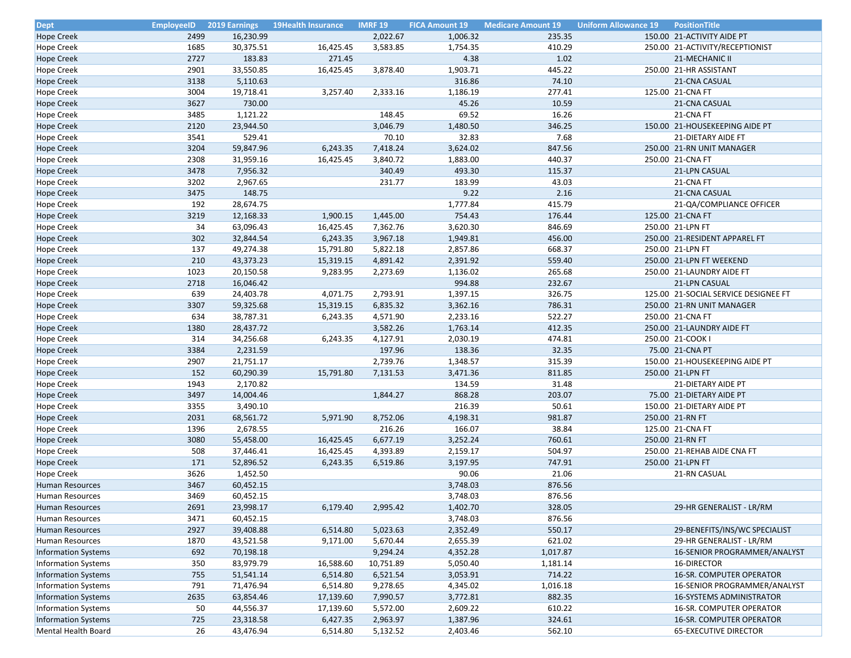| <b>Dept</b>                | <b>EmployeeID</b> | <b>2019 Earnings</b> | <b>19Health Insurance</b> | <b>IMRF 19</b> | <b>FICA Amount 19</b> | <b>Medicare Amount 19</b> | <b>Uniform Allowance 19</b> | PositionTitle                                      |
|----------------------------|-------------------|----------------------|---------------------------|----------------|-----------------------|---------------------------|-----------------------------|----------------------------------------------------|
| <b>Hope Creek</b>          | 2499              | 16,230.99            |                           | 2,022.67       | 1,006.32              | 235.35                    |                             | 150.00 21-ACTIVITY AIDE PT                         |
| <b>Hope Creek</b>          | 1685              | 30,375.51            | 16,425.45                 | 3,583.85       | 1,754.35              | 410.29                    |                             | 250.00 21-ACTIVITY/RECEPTIONIST                    |
| <b>Hope Creek</b>          | 2727              | 183.83               | 271.45                    |                | 4.38                  | 1.02                      |                             | 21-MECHANIC II                                     |
| <b>Hope Creek</b>          | 2901              | 33,550.85            | 16,425.45                 | 3,878.40       | 1,903.71              | 445.22                    |                             | 250.00 21-HR ASSISTANT                             |
| <b>Hope Creek</b>          | 3138              | 5,110.63             |                           |                | 316.86                | 74.10                     |                             | 21-CNA CASUAL                                      |
| <b>Hope Creek</b>          | 3004              | 19,718.41            | 3,257.40                  | 2,333.16       | 1,186.19              | 277.41                    |                             | 125.00 21-CNA FT                                   |
| <b>Hope Creek</b>          | 3627              | 730.00               |                           |                | 45.26                 | 10.59                     |                             | 21-CNA CASUAL                                      |
| Hope Creek                 | 3485              | 1,121.22             |                           | 148.45         | 69.52                 | 16.26                     |                             | 21-CNA FT                                          |
| <b>Hope Creek</b>          | 2120              | 23,944.50            |                           | 3,046.79       | 1,480.50              | 346.25                    |                             | 150.00 21-HOUSEKEEPING AIDE PT                     |
| <b>Hope Creek</b>          | 3541              | 529.41               |                           | 70.10          | 32.83                 | 7.68                      |                             | 21-DIETARY AIDE FT                                 |
| <b>Hope Creek</b>          | 3204              | 59,847.96            | 6,243.35                  | 7,418.24       | 3,624.02              | 847.56                    |                             | 250.00 21-RN UNIT MANAGER                          |
| <b>Hope Creek</b>          | 2308              | 31,959.16            | 16,425.45                 | 3,840.72       | 1,883.00              | 440.37                    |                             | 250.00 21-CNA FT                                   |
| <b>Hope Creek</b>          | 3478              | 7,956.32             |                           | 340.49         | 493.30                | 115.37                    |                             | 21-LPN CASUAL                                      |
| <b>Hope Creek</b>          | 3202              | 2,967.65             |                           | 231.77         | 183.99                | 43.03                     |                             | 21-CNA FT                                          |
| <b>Hope Creek</b>          | 3475              | 148.75               |                           |                | 9.22                  | 2.16                      |                             | 21-CNA CASUAL                                      |
| <b>Hope Creek</b>          | 192               | 28,674.75            |                           |                | 1,777.84              | 415.79                    |                             | 21-QA/COMPLIANCE OFFICER                           |
| <b>Hope Creek</b>          | 3219              | 12,168.33            | 1,900.15                  | 1,445.00       | 754.43                | 176.44                    |                             | 125.00 21-CNA FT                                   |
| <b>Hope Creek</b>          | 34                | 63,096.43            | 16,425.45                 | 7,362.76       | 3,620.30              | 846.69                    |                             | 250.00 21-LPN FT                                   |
| <b>Hope Creek</b>          | 302               | 32,844.54            | 6,243.35                  | 3,967.18       | 1,949.81              | 456.00                    |                             | 250.00 21-RESIDENT APPAREL FT                      |
| <b>Hope Creek</b>          | 137               | 49,274.38            | 15,791.80                 | 5,822.18       | 2,857.86              | 668.37                    |                             | 250.00 21-LPN FT                                   |
| <b>Hope Creek</b>          | 210               | 43,373.23            | 15,319.15                 | 4,891.42       | 2,391.92              | 559.40                    |                             | 250.00 21-LPN FT WEEKEND                           |
| <b>Hope Creek</b>          | 1023              | 20,150.58            | 9,283.95                  | 2,273.69       | 1,136.02              | 265.68                    |                             | 250.00 21-LAUNDRY AIDE FT                          |
| <b>Hope Creek</b>          | 2718              | 16,046.42            |                           |                | 994.88                | 232.67                    |                             | 21-LPN CASUAL                                      |
| <b>Hope Creek</b>          | 639               | 24,403.78            | 4,071.75                  | 2,793.91       | 1,397.15              | 326.75                    |                             | 125.00 21-SOCIAL SERVICE DESIGNEE FT               |
| <b>Hope Creek</b>          | 3307              | 59,325.68            | 15,319.15                 | 6,835.32       | 3,362.16              | 786.31                    |                             | 250.00 21-RN UNIT MANAGER                          |
| <b>Hope Creek</b>          | 634               | 38,787.31            | 6,243.35                  | 4,571.90       | 2,233.16              | 522.27                    |                             | 250.00 21-CNA FT                                   |
|                            | 1380              | 28,437.72            |                           | 3,582.26       |                       | 412.35                    |                             |                                                    |
| <b>Hope Creek</b>          | 314               |                      |                           | 4,127.91       | 1,763.14              | 474.81                    |                             | 250.00 21-LAUNDRY AIDE FT<br>250.00 21-COOK I      |
| <b>Hope Creek</b>          |                   | 34,256.68            | 6,243.35                  |                | 2,030.19              |                           |                             |                                                    |
| <b>Hope Creek</b>          | 3384              | 2,231.59             |                           | 197.96         | 138.36                | 32.35                     |                             | 75.00 21-CNA PT                                    |
| <b>Hope Creek</b>          | 2907<br>152       | 21,751.17            | 15,791.80                 | 2,739.76       | 1,348.57              | 315.39<br>811.85          |                             | 150.00 21-HOUSEKEEPING AIDE PT<br>250.00 21-LPN FT |
| <b>Hope Creek</b>          |                   | 60,290.39            |                           | 7,131.53       | 3,471.36              |                           |                             |                                                    |
| <b>Hope Creek</b>          | 1943              | 2,170.82             |                           |                | 134.59                | 31.48                     |                             | 21-DIETARY AIDE PT                                 |
| <b>Hope Creek</b>          | 3497              | 14,004.46            |                           | 1,844.27       | 868.28                | 203.07                    |                             | 75.00 21-DIETARY AIDE PT                           |
| <b>Hope Creek</b>          | 3355              | 3,490.10             |                           |                | 216.39                | 50.61                     |                             | 150.00 21-DIETARY AIDE PT                          |
| <b>Hope Creek</b>          | 2031              | 68,561.72            | 5,971.90                  | 8,752.06       | 4,198.31              | 981.87                    |                             | 250.00 21-RN FT                                    |
| <b>Hope Creek</b>          | 1396              | 2,678.55             |                           | 216.26         | 166.07                | 38.84                     |                             | 125.00 21-CNA FT                                   |
| <b>Hope Creek</b>          | 3080              | 55,458.00            | 16,425.45                 | 6,677.19       | 3,252.24              | 760.61                    |                             | 250.00 21-RN FT                                    |
| Hope Creek                 | 508               | 37,446.41            | 16,425.45                 | 4,393.89       | 2,159.17              | 504.97                    |                             | 250.00 21-REHAB AIDE CNA FT                        |
| <b>Hope Creek</b>          | 171               | 52,896.52            | 6,243.35                  | 6,519.86       | 3,197.95              | 747.91                    |                             | 250.00 21-LPN FT                                   |
| <b>Hope Creek</b>          | 3626              | 1,452.50             |                           |                | 90.06                 | 21.06                     |                             | 21-RN CASUAL                                       |
| Human Resources            | 3467              | 60,452.15            |                           |                | 3,748.03              | 876.56                    |                             |                                                    |
| Human Resources            | 3469              | 60,452.15            |                           |                | 3,748.03              | 876.56                    |                             |                                                    |
| Human Resources            | 2691              | 23,998.17            | 6,179.40                  | 2,995.42       | 1,402.70              | 328.05                    |                             | 29-HR GENERALIST - LR/RM                           |
| Human Resources            | 3471              | 60,452.15            |                           |                | 3,748.03              | 876.56                    |                             |                                                    |
| Human Resources            | 2927              | 39,408.88            | 6,514.80                  | 5,023.63       | 2,352.49              | 550.17                    |                             | 29-BENEFITS/INS/WC SPECIALIST                      |
| Human Resources            | 1870              | 43,521.58            | 9,171.00                  | 5,670.44       | 2,655.39              | 621.02                    |                             | 29-HR GENERALIST - LR/RM                           |
| <b>Information Systems</b> | 692               | 70,198.18            |                           | 9,294.24       | 4,352.28              | 1,017.87                  |                             | 16-SENIOR PROGRAMMER/ANALYST                       |
| <b>Information Systems</b> | 350               | 83,979.79            | 16,588.60                 | 10,751.89      | 5,050.40              | 1,181.14                  |                             | 16-DIRECTOR                                        |
| <b>Information Systems</b> | 755               | 51,541.14            | 6,514.80                  | 6,521.54       | 3,053.91              | 714.22                    |                             | <b>16-SR. COMPUTER OPERATOR</b>                    |
| Information Systems        | 791               | 71,476.94            | 6,514.80                  | 9,278.65       | 4,345.02              | 1,016.18                  |                             | 16-SENIOR PROGRAMMER/ANALYST                       |
| <b>Information Systems</b> | 2635              | 63,854.46            | 17,139.60                 | 7,990.57       | 3,772.81              | 882.35                    |                             | <b>16-SYSTEMS ADMINISTRATOR</b>                    |
| <b>Information Systems</b> | 50                | 44,556.37            | 17,139.60                 | 5,572.00       | 2,609.22              | 610.22                    |                             | 16-SR. COMPUTER OPERATOR                           |
| <b>Information Systems</b> | 725               | 23,318.58            | 6,427.35                  | 2,963.97       | 1,387.96              | 324.61                    |                             | 16-SR. COMPUTER OPERATOR                           |
| Mental Health Board        | 26                | 43,476.94            | 6,514.80                  | 5,132.52       | 2,403.46              | 562.10                    |                             | <b>65-EXECUTIVE DIRECTOR</b>                       |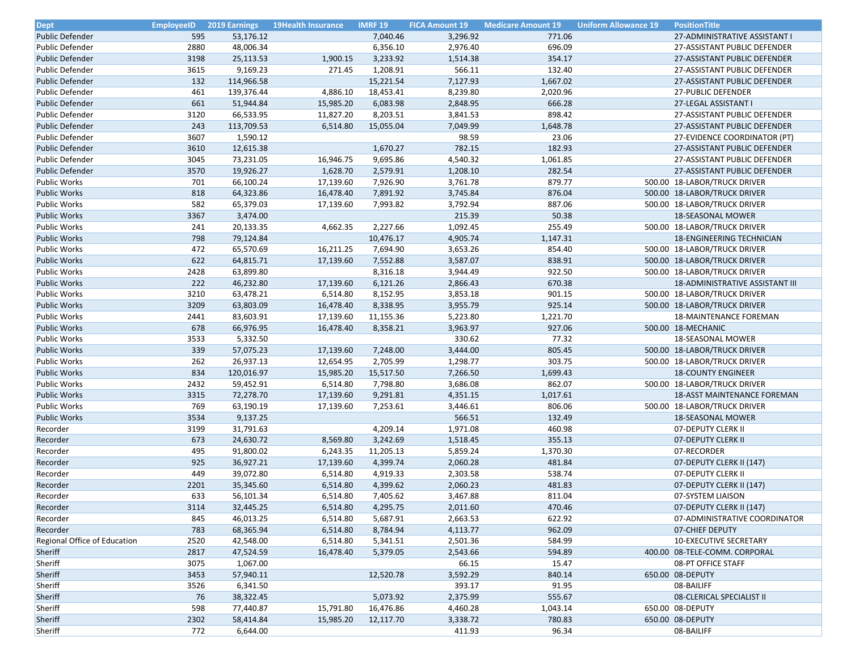| <b>Dept</b>                  | <b>EmployeeID</b> | 2019 Earnings | <b>19Health Insurance</b> | <b>IMRF 19</b> | <b>FICA Amount 19</b> | <b>Medicare Amount 19</b> | <b>Uniform Allowance 19</b> | <b>PositionTitle</b>                                         |
|------------------------------|-------------------|---------------|---------------------------|----------------|-----------------------|---------------------------|-----------------------------|--------------------------------------------------------------|
| <b>Public Defender</b>       | 595               | 53,176.12     |                           | 7,040.46       | 3,296.92              | 771.06                    |                             | 27-ADMINISTRATIVE ASSISTANT I                                |
| Public Defender              | 2880              | 48,006.34     |                           | 6,356.10       | 2,976.40              | 696.09                    |                             | 27-ASSISTANT PUBLIC DEFENDER                                 |
| <b>Public Defender</b>       | 3198              | 25,113.53     | 1,900.15                  | 3,233.92       | 1,514.38              | 354.17                    |                             | 27-ASSISTANT PUBLIC DEFENDER                                 |
| Public Defender              | 3615              | 9,169.23      | 271.45                    | 1,208.91       | 566.11                | 132.40                    |                             | 27-ASSISTANT PUBLIC DEFENDER                                 |
| <b>Public Defender</b>       | 132               | 114,966.58    |                           | 15,221.54      | 7,127.93              | 1,667.02                  |                             | 27-ASSISTANT PUBLIC DEFENDER                                 |
| <b>Public Defender</b>       | 461               | 139,376.44    | 4,886.10                  | 18,453.41      | 8,239.80              | 2,020.96                  |                             | 27-PUBLIC DEFENDER                                           |
| <b>Public Defender</b>       | 661               | 51,944.84     | 15,985.20                 | 6,083.98       | 2,848.95              | 666.28                    |                             | 27-LEGAL ASSISTANT I                                         |
| <b>Public Defender</b>       | 3120              | 66,533.95     | 11,827.20                 | 8,203.51       | 3,841.53              | 898.42                    |                             | 27-ASSISTANT PUBLIC DEFENDER                                 |
| <b>Public Defender</b>       | 243               | 113,709.53    | 6,514.80                  | 15,055.04      | 7,049.99              | 1,648.78                  |                             | 27-ASSISTANT PUBLIC DEFENDER                                 |
| Public Defender              | 3607              | 1,590.12      |                           |                | 98.59                 | 23.06                     |                             | 27-EVIDENCE COORDINATOR (PT)                                 |
| <b>Public Defender</b>       | 3610              | 12,615.38     |                           | 1,670.27       | 782.15                | 182.93                    |                             | 27-ASSISTANT PUBLIC DEFENDER                                 |
| Public Defender              | 3045              | 73,231.05     | 16,946.75                 | 9,695.86       | 4,540.32              | 1,061.85                  |                             | 27-ASSISTANT PUBLIC DEFENDER                                 |
| <b>Public Defender</b>       | 3570              | 19,926.27     | 1,628.70                  | 2,579.91       | 1,208.10              | 282.54                    |                             | 27-ASSISTANT PUBLIC DEFENDER                                 |
| Public Works                 | 701               | 66,100.24     | 17,139.60                 | 7,926.90       | 3,761.78              | 879.77                    |                             | 500.00 18-LABOR/TRUCK DRIVER                                 |
| <b>Public Works</b>          | 818               | 64,323.86     | 16,478.40                 | 7,891.92       | 3,745.84              | 876.04                    |                             | 500.00 18-LABOR/TRUCK DRIVER                                 |
| <b>Public Works</b>          | 582               | 65,379.03     | 17,139.60                 | 7,993.82       | 3,792.94              | 887.06                    |                             | 500.00 18-LABOR/TRUCK DRIVER                                 |
| <b>Public Works</b>          | 3367              | 3,474.00      |                           |                | 215.39                | 50.38                     |                             | <b>18-SEASONAL MOWER</b>                                     |
| <b>Public Works</b>          | 241               | 20,133.35     | 4,662.35                  | 2,227.66       | 1,092.45              | 255.49                    |                             | 500.00 18-LABOR/TRUCK DRIVER                                 |
| <b>Public Works</b>          | 798               | 79,124.84     |                           | 10,476.17      | 4,905.74              | 1,147.31                  |                             | <b>18-ENGINEERING TECHNICIAN</b>                             |
| Public Works                 | 472               | 65,570.69     | 16,211.25                 | 7,694.90       | 3,653.26              | 854.40                    |                             | 500.00 18-LABOR/TRUCK DRIVER                                 |
| <b>Public Works</b>          | 622               | 64,815.71     | 17,139.60                 | 7,552.88       | 3,587.07              | 838.91                    |                             | 500.00 18-LABOR/TRUCK DRIVER                                 |
| Public Works                 | 2428              | 63,899.80     |                           | 8,316.18       | 3,944.49              | 922.50                    |                             | 500.00 18-LABOR/TRUCK DRIVER                                 |
| <b>Public Works</b>          | 222               | 46,232.80     | 17,139.60                 | 6,121.26       | 2,866.43              | 670.38                    |                             | <b>18-ADMINISTRATIVE ASSISTANT III</b>                       |
|                              | 3210              | 63,478.21     |                           | 8,152.95       |                       |                           |                             |                                                              |
| <b>Public Works</b>          | 3209              |               | 6,514.80                  |                | 3,853.18              | 901.15<br>925.14          |                             | 500.00 18-LABOR/TRUCK DRIVER<br>500.00 18-LABOR/TRUCK DRIVER |
| <b>Public Works</b>          |                   | 63,803.09     | 16,478.40                 | 8,338.95       | 3,955.79              |                           |                             |                                                              |
| Public Works                 | 2441              | 83,603.91     | 17,139.60                 | 11,155.36      | 5,223.80              | 1,221.70                  |                             | <b>18-MAINTENANCE FOREMAN</b>                                |
| <b>Public Works</b>          | 678               | 66,976.95     | 16,478.40                 | 8,358.21       | 3,963.97              | 927.06                    |                             | 500.00 18-MECHANIC                                           |
| <b>Public Works</b>          | 3533              | 5,332.50      |                           |                | 330.62                | 77.32                     |                             | 18-SEASONAL MOWER                                            |
| <b>Public Works</b>          | 339               | 57,075.23     | 17,139.60                 | 7,248.00       | 3,444.00              | 805.45                    |                             | 500.00 18-LABOR/TRUCK DRIVER                                 |
| Public Works                 | 262               | 26,937.13     | 12,654.95                 | 2,705.99       | 1,298.77              | 303.75                    |                             | 500.00 18-LABOR/TRUCK DRIVER                                 |
| <b>Public Works</b>          | 834               | 120,016.97    | 15,985.20                 | 15,517.50      | 7,266.50              | 1,699.43                  |                             | <b>18-COUNTY ENGINEER</b>                                    |
| <b>Public Works</b>          | 2432              | 59,452.91     | 6,514.80                  | 7,798.80       | 3,686.08              | 862.07                    |                             | 500.00 18-LABOR/TRUCK DRIVER                                 |
| <b>Public Works</b>          | 3315              | 72,278.70     | 17,139.60                 | 9,291.81       | 4,351.15              | 1,017.61                  |                             | <b>18-ASST MAINTENANCE FOREMAN</b>                           |
| Public Works                 | 769               | 63,190.19     | 17,139.60                 | 7,253.61       | 3,446.61              | 806.06                    |                             | 500.00 18-LABOR/TRUCK DRIVER                                 |
| <b>Public Works</b>          | 3534              | 9,137.25      |                           |                | 566.51                | 132.49                    |                             | <b>18-SEASONAL MOWER</b>                                     |
| Recorder                     | 3199              | 31,791.63     |                           | 4,209.14       | 1,971.08              | 460.98                    |                             | 07-DEPUTY CLERK II                                           |
| Recorder                     | 673               | 24,630.72     | 8,569.80                  | 3,242.69       | 1,518.45              | 355.13                    |                             | 07-DEPUTY CLERK II                                           |
| Recorder                     | 495               | 91,800.02     | 6,243.35                  | 11,205.13      | 5,859.24              | 1,370.30                  |                             | 07-RECORDER                                                  |
| Recorder                     | 925               | 36,927.21     | 17,139.60                 | 4,399.74       | 2,060.28              | 481.84                    |                             | 07-DEPUTY CLERK II (147)                                     |
| Recorder                     | 449               | 39,072.80     | 6,514.80                  | 4,919.33       | 2,303.58              | 538.74                    |                             | 07-DEPUTY CLERK II                                           |
| Recorder                     | 2201              | 35,345.60     | 6,514.80                  | 4,399.62       | 2,060.23              | 481.83                    |                             | 07-DEPUTY CLERK II (147)                                     |
| Recorder                     | 633               | 56,101.34     | 6,514.80                  | 7,405.62       | 3,467.88              | 811.04                    |                             | 07-SYSTEM LIAISON                                            |
| Recorder                     | 3114              | 32,445.25     | 6,514.80                  | 4,295.75       | 2,011.60              | 470.46                    |                             | 07-DEPUTY CLERK II (147)                                     |
| Recorder                     | 845               | 46,013.25     | 6,514.80                  | 5,687.91       | 2,663.53              | 622.92                    |                             | 07-ADMINISTRATIVE COORDINATOR                                |
| Recorder                     | 783               | 68,365.94     | 6,514.80                  | 8,784.94       | 4,113.77              | 962.09                    |                             | 07-CHIEF DEPUTY                                              |
| Regional Office of Education | 2520              | 42,548.00     | 6,514.80                  | 5,341.51       | 2,501.36              | 584.99                    |                             | <b>10-EXECUTIVE SECRETARY</b>                                |
| Sheriff                      | 2817              | 47,524.59     | 16,478.40                 | 5,379.05       | 2,543.66              | 594.89                    |                             | 400.00 08-TELE-COMM. CORPORAL                                |
| Sheriff                      | 3075              | 1,067.00      |                           |                | 66.15                 | 15.47                     |                             | 08-PT OFFICE STAFF                                           |
| Sheriff                      | 3453              | 57,940.11     |                           | 12,520.78      | 3,592.29              | 840.14                    |                             | 650.00 08-DEPUTY                                             |
| Sheriff                      | 3526              | 6,341.50      |                           |                | 393.17                | 91.95                     |                             | 08-BAILIFF                                                   |
| Sheriff                      | 76                | 38,322.45     |                           | 5,073.92       | 2,375.99              | 555.67                    |                             | 08-CLERICAL SPECIALIST II                                    |
| Sheriff                      | 598               | 77,440.87     | 15,791.80                 | 16,476.86      | 4,460.28              | 1,043.14                  |                             | 650.00 08-DEPUTY                                             |
| Sheriff                      | 2302              | 58,414.84     | 15,985.20                 | 12,117.70      | 3,338.72              | 780.83                    |                             | 650.00 08-DEPUTY                                             |
| Sheriff                      | 772               | 6,644.00      |                           |                | 411.93                | 96.34                     |                             | 08-BAILIFF                                                   |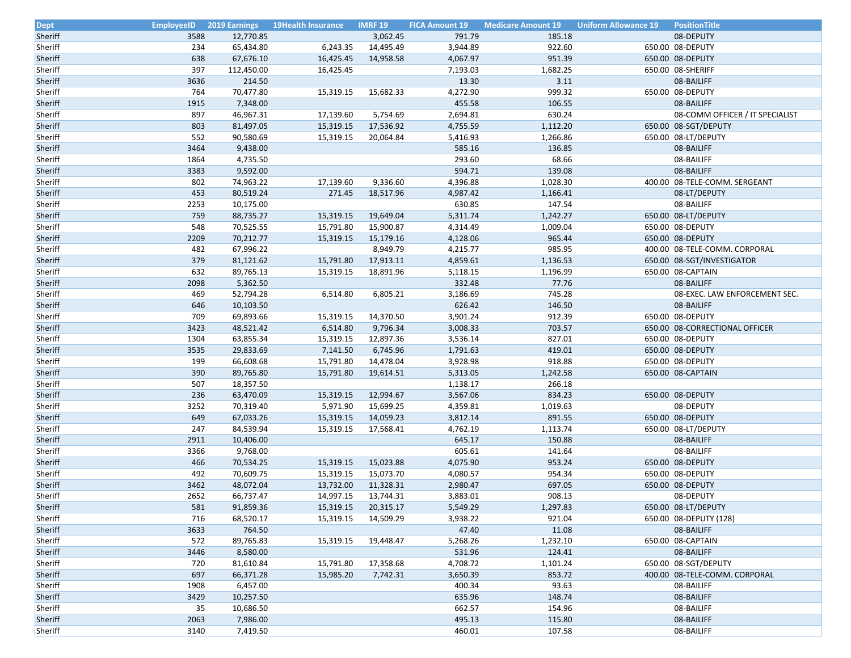| <b>Dept</b>        | <b>EmployeeID</b> | <b>2019 Earnings</b>   | <b>19Health Insurance</b> | <b>IMRF 19</b> | <b>FICA Amount 19</b> | <b>Medicare Amount 19</b> | <b>Uniform Allowance 19</b> | <b>PositionTitle</b>            |
|--------------------|-------------------|------------------------|---------------------------|----------------|-----------------------|---------------------------|-----------------------------|---------------------------------|
| Sheriff            | 3588              | 12,770.85              |                           | 3,062.45       | 791.79                | 185.18                    |                             | 08-DEPUTY                       |
| Sheriff            | 234               | 65,434.80              | 6,243.35                  | 14,495.49      | 3,944.89              | 922.60                    |                             | 650.00 08-DEPUTY                |
| Sheriff            | 638               | 67,676.10              | 16,425.45                 | 14,958.58      | 4,067.97              | 951.39                    |                             | 650.00 08-DEPUTY                |
| Sheriff            | 397               | 112,450.00             | 16,425.45                 |                | 7,193.03              | 1,682.25                  |                             | 650.00 08-SHERIFF               |
| Sheriff            | 3636              | 214.50                 |                           |                | 13.30                 | 3.11                      |                             | 08-BAILIFF                      |
| Sheriff            | 764               | 70,477.80              | 15,319.15                 | 15,682.33      | 4,272.90              | 999.32                    |                             | 650.00 08-DEPUTY                |
| Sheriff            | 1915              | 7,348.00               |                           |                | 455.58                | 106.55                    |                             | 08-BAILIFF                      |
| Sheriff            | 897               | 46,967.31              | 17,139.60                 | 5,754.69       | 2,694.81              | 630.24                    |                             | 08-COMM OFFICER / IT SPECIALIST |
| Sheriff            | 803               | 81,497.05              | 15,319.15                 | 17,536.92      | 4,755.59              | 1,112.20                  |                             | 650.00 08-SGT/DEPUTY            |
| Sheriff            | 552               | 90,580.69              | 15,319.15                 | 20,064.84      | 5,416.93              | 1,266.86                  |                             | 650.00 08-LT/DEPUTY             |
| Sheriff            | 3464              | 9,438.00               |                           |                | 585.16                | 136.85                    |                             | 08-BAILIFF                      |
| Sheriff            | 1864              | 4,735.50               |                           |                | 293.60                | 68.66                     |                             | 08-BAILIFF                      |
| Sheriff            | 3383              | 9,592.00               |                           |                | 594.71                | 139.08                    |                             | 08-BAILIFF                      |
| Sheriff            | 802               | 74,963.22              | 17,139.60                 | 9,336.60       | 4,396.88              | 1,028.30                  |                             | 400.00 08-TELE-COMM. SERGEANT   |
| Sheriff            | 453               | 80,519.24              | 271.45                    | 18,517.96      | 4,987.42              | 1,166.41                  |                             | 08-LT/DEPUTY                    |
| Sheriff            | 2253              | 10,175.00              |                           |                | 630.85                | 147.54                    |                             | 08-BAILIFF                      |
| Sheriff            | 759               | 88,735.27              | 15,319.15                 | 19,649.04      | 5,311.74              | 1,242.27                  |                             | 650.00 08-LT/DEPUTY             |
| Sheriff            | 548               | 70,525.55              | 15,791.80                 | 15,900.87      | 4,314.49              | 1,009.04                  |                             | 650.00 08-DEPUTY                |
| Sheriff            | 2209              | 70,212.77              | 15,319.15                 | 15,179.16      | 4,128.06              | 965.44                    |                             | 650.00 08-DEPUTY                |
| Sheriff            | 482               | 67,996.22              |                           | 8,949.79       | 4,215.77              | 985.95                    |                             | 400.00 08-TELE-COMM. CORPORAL   |
| Sheriff            | 379               | 81,121.62              | 15,791.80                 | 17,913.11      | 4,859.61              | 1,136.53                  |                             | 650.00 08-SGT/INVESTIGATOR      |
| Sheriff            | 632               | 89,765.13              | 15,319.15                 | 18,891.96      | 5,118.15              | 1,196.99                  |                             | 650.00 08-CAPTAIN               |
| Sheriff            | 2098              | 5,362.50               |                           |                | 332.48                | 77.76                     |                             | 08-BAILIFF                      |
| Sheriff            | 469               | 52,794.28              | 6,514.80                  | 6,805.21       | 3,186.69              | 745.28                    |                             | 08-EXEC. LAW ENFORCEMENT SEC.   |
| Sheriff            | 646               | 10,103.50              |                           |                | 626.42                | 146.50                    |                             | 08-BAILIFF                      |
| Sheriff            | 709               | 69,893.66              | 15,319.15                 | 14,370.50      | 3,901.24              | 912.39                    |                             | 650.00 08-DEPUTY                |
| Sheriff            | 3423              | 48,521.42              | 6,514.80                  | 9,796.34       | 3,008.33              | 703.57                    |                             | 650.00 08-CORRECTIONAL OFFICER  |
| Sheriff            | 1304              | 63,855.34              | 15,319.15                 | 12,897.36      | 3,536.14              | 827.01                    |                             |                                 |
| Sheriff            |                   |                        |                           |                |                       |                           |                             | 650.00 08-DEPUTY                |
| Sheriff            | 3535              | 29,833.69<br>66,608.68 | 7,141.50                  | 6,745.96       | 1,791.63<br>3,928.98  | 419.01<br>918.88          |                             | 650.00 08-DEPUTY                |
| Sheriff            | 199<br>390        |                        | 15,791.80<br>15,791.80    | 14,478.04      |                       | 1,242.58                  |                             | 650.00 08-DEPUTY                |
|                    | 507               | 89,765.80              |                           | 19,614.51      | 5,313.05              | 266.18                    |                             | 650.00 08-CAPTAIN               |
| Sheriff<br>Sheriff | 236               | 18,357.50              |                           |                | 1,138.17              | 834.23                    |                             |                                 |
|                    |                   | 63,470.09              | 15,319.15                 | 12,994.67      | 3,567.06              |                           |                             | 650.00 08-DEPUTY                |
| Sheriff            | 3252              | 70,319.40              | 5,971.90                  | 15,699.25      | 4,359.81              | 1,019.63                  |                             | 08-DEPUTY                       |
| Sheriff            | 649               | 67,033.26              | 15,319.15                 | 14,059.23      | 3,812.14              | 891.55                    |                             | 650.00 08-DEPUTY                |
| Sheriff            | 247               | 84,539.94              | 15,319.15                 | 17,568.41      | 4,762.19              | 1,113.74                  |                             | 650.00 08-LT/DEPUTY             |
| Sheriff            | 2911              | 10,406.00              |                           |                | 645.17                | 150.88                    |                             | 08-BAILIFF                      |
| Sheriff            | 3366              | 9,768.00               |                           |                | 605.61                | 141.64                    |                             | 08-BAILIFF                      |
| Sheriff            | 466               | 70,534.25              | 15,319.15                 | 15,023.88      | 4,075.90              | 953.24                    |                             | 650.00 08-DEPUTY                |
| Sheriff            | 492               | 70,609.75              | 15,319.15                 | 15,073.70      | 4,080.57              | 954.34                    |                             | 650.00 08-DEPUTY                |
| Sheriff            | 3462              | 48,072.04              | 13,732.00                 | 11,328.31      | 2,980.47              | 697.05                    |                             | 650.00 08-DEPUTY                |
| Sheriff            | 2652              | 66,737.47              | 14,997.15                 | 13,744.31      | 3,883.01              | 908.13                    |                             | 08-DEPUTY                       |
| Sheriff            | 581               | 91,859.36              | 15,319.15                 | 20,315.17      | 5,549.29              | 1,297.83                  |                             | 650.00 08-LT/DEPUTY             |
| Sheriff            | 716               | 68,520.17              | 15,319.15                 | 14,509.29      | 3,938.22              | 921.04                    |                             | 650.00 08-DEPUTY (128)          |
| Sheriff            | 3633              | 764.50                 |                           |                | 47.40                 | 11.08                     |                             | 08-BAILIFF                      |
| Sheriff            | 572               | 89,765.83              | 15,319.15                 | 19,448.47      | 5,268.26              | 1,232.10                  |                             | 650.00 08-CAPTAIN               |
| Sheriff            | 3446              | 8,580.00               |                           |                | 531.96                | 124.41                    |                             | 08-BAILIFF                      |
| Sheriff            | 720               | 81,610.84              | 15,791.80                 | 17,358.68      | 4,708.72              | 1,101.24                  |                             | 650.00 08-SGT/DEPUTY            |
| Sheriff            | 697               | 66,371.28              | 15,985.20                 | 7,742.31       | 3,650.39              | 853.72                    |                             | 400.00 08-TELE-COMM. CORPORAL   |
| Sheriff            | 1908              | 6,457.00               |                           |                | 400.34                | 93.63                     |                             | 08-BAILIFF                      |
| Sheriff            | 3429              | 10,257.50              |                           |                | 635.96                | 148.74                    |                             | 08-BAILIFF                      |
| Sheriff            | 35                | 10,686.50              |                           |                | 662.57                | 154.96                    |                             | 08-BAILIFF                      |
| Sheriff            | 2063              | 7,986.00               |                           |                | 495.13                | 115.80                    |                             | 08-BAILIFF                      |
| Sheriff            | 3140              | 7,419.50               |                           |                | 460.01                | 107.58                    |                             | 08-BAILIFF                      |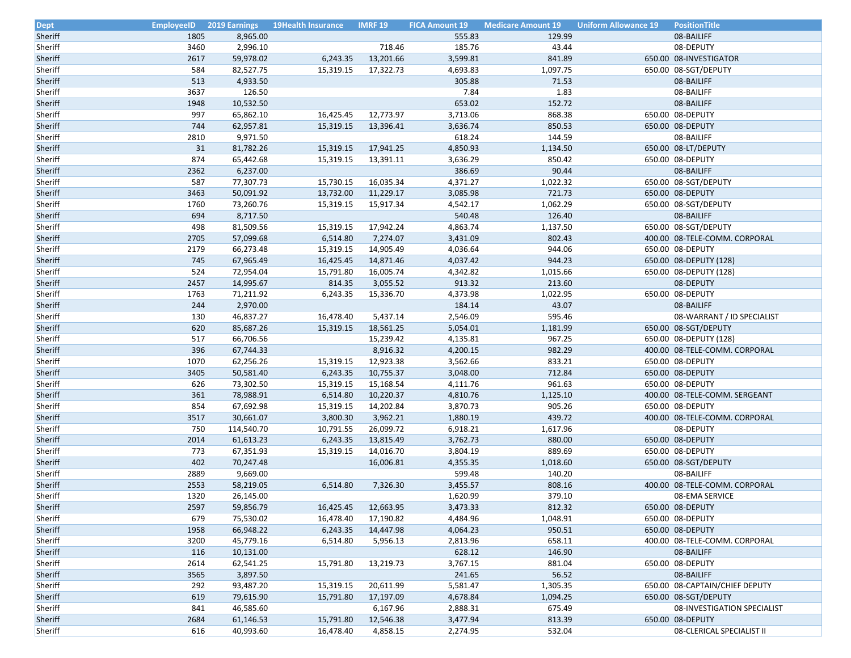| <b>Dept</b>        | <b>EmployeeID</b> |                        | <b>2019 Earnings</b> 19Health Insurance | <b>IMRF 19</b> | <b>FICA Amount 19</b> | <b>Medicare Amount 19</b> | <b>Uniform Allowance 19</b> | <b>PositionTitle</b>                              |
|--------------------|-------------------|------------------------|-----------------------------------------|----------------|-----------------------|---------------------------|-----------------------------|---------------------------------------------------|
| Sheriff            | 1805              | 8,965.00               |                                         |                | 555.83                | 129.99                    |                             | 08-BAILIFF                                        |
| Sheriff            | 3460              | 2,996.10               |                                         | 718.46         | 185.76                | 43.44                     |                             | 08-DEPUTY                                         |
| Sheriff            | 2617              | 59,978.02              | 6,243.35                                | 13,201.66      | 3,599.81              | 841.89                    |                             | 650.00 08-INVESTIGATOR                            |
| Sheriff            | 584               | 82,527.75              | 15,319.15                               | 17,322.73      | 4,693.83              | 1,097.75                  |                             | 650.00 08-SGT/DEPUTY                              |
| Sheriff            | 513               | 4,933.50               |                                         |                | 305.88                | 71.53                     |                             | 08-BAILIFF                                        |
| Sheriff            | 3637              | 126.50                 |                                         |                | 7.84                  | 1.83                      |                             | 08-BAILIFF                                        |
| Sheriff            | 1948              | 10,532.50              |                                         |                | 653.02                | 152.72                    |                             | 08-BAILIFF                                        |
| Sheriff            | 997               | 65,862.10              | 16,425.45                               | 12,773.97      | 3,713.06              | 868.38                    |                             | 650.00 08-DEPUTY                                  |
| Sheriff            | 744               | 62,957.81              | 15,319.15                               | 13,396.41      | 3,636.74              | 850.53                    |                             | 650.00 08-DEPUTY                                  |
| Sheriff            | 2810              | 9,971.50               |                                         |                | 618.24                | 144.59                    |                             | 08-BAILIFF                                        |
| Sheriff            | 31                | 81,782.26              | 15,319.15                               | 17,941.25      | 4,850.93              | 1,134.50                  |                             | 650.00 08-LT/DEPUTY                               |
| Sheriff            | 874               | 65,442.68              | 15,319.15                               | 13,391.11      | 3,636.29              | 850.42                    |                             | 650.00 08-DEPUTY                                  |
| Sheriff            | 2362              | 6,237.00               |                                         |                | 386.69                | 90.44                     |                             | 08-BAILIFF                                        |
| Sheriff            | 587               | 77,307.73              | 15,730.15                               | 16,035.34      | 4,371.27              | 1,022.32                  |                             | 650.00 08-SGT/DEPUTY                              |
| Sheriff            | 3463              | 50,091.92              | 13,732.00                               | 11,229.17      | 3,085.98              | 721.73                    |                             | 650.00 08-DEPUTY                                  |
| Sheriff            | 1760              | 73,260.76              | 15,319.15                               | 15,917.34      | 4,542.17              | 1,062.29                  |                             | 650.00 08-SGT/DEPUTY                              |
| Sheriff            | 694               | 8,717.50               |                                         |                | 540.48                | 126.40                    |                             | 08-BAILIFF                                        |
| Sheriff            | 498               | 81,509.56              | 15,319.15                               | 17,942.24      | 4,863.74              | 1,137.50                  |                             | 650.00 08-SGT/DEPUTY                              |
| Sheriff            | 2705              | 57,099.68              | 6,514.80                                | 7,274.07       | 3,431.09              | 802.43                    |                             | 400.00 08-TELE-COMM. CORPORAL                     |
| Sheriff            | 2179              | 66,273.48              | 15,319.15                               | 14,905.49      | 4,036.64              | 944.06                    |                             | 650.00 08-DEPUTY                                  |
| Sheriff            | 745               | 67,965.49              | 16,425.45                               | 14,871.46      | 4,037.42              | 944.23                    |                             | 650.00 08-DEPUTY (128)                            |
| Sheriff            | 524               | 72,954.04              | 15,791.80                               | 16,005.74      | 4,342.82              | 1,015.66                  |                             | 650.00 08-DEPUTY (128)                            |
| Sheriff            | 2457              | 14,995.67              | 814.35                                  | 3,055.52       | 913.32                | 213.60                    |                             | 08-DEPUTY                                         |
| Sheriff            | 1763              | 71,211.92              | 6,243.35                                | 15,336.70      | 4,373.98              | 1,022.95                  |                             | 650.00 08-DEPUTY                                  |
| Sheriff            | 244               | 2,970.00               |                                         |                | 184.14                | 43.07                     |                             | 08-BAILIFF                                        |
| Sheriff            | 130               | 46,837.27              | 16,478.40                               | 5,437.14       | 2,546.09              | 595.46                    |                             | 08-WARRANT / ID SPECIALIST                        |
| Sheriff            | 620               | 85,687.26              | 15,319.15                               | 18,561.25      | 5,054.01              | 1,181.99                  |                             | 650.00 08-SGT/DEPUTY                              |
|                    | 517               |                        |                                         |                |                       | 967.25                    |                             |                                                   |
| Sheriff            | 396               | 66,706.56<br>67,744.33 |                                         | 15,239.42      | 4,135.81              | 982.29                    |                             | 650.00 08-DEPUTY (128)                            |
| Sheriff<br>Sheriff | 1070              | 62,256.26              |                                         | 8,916.32       | 4,200.15<br>3,562.66  | 833.21                    |                             | 400.00 08-TELE-COMM. CORPORAL<br>650.00 08-DEPUTY |
| Sheriff            | 3405              | 50,581.40              | 15,319.15                               | 12,923.38      |                       | 712.84                    |                             |                                                   |
|                    | 626               |                        | 6,243.35                                | 10,755.37      | 3,048.00              | 961.63                    |                             | 650.00 08-DEPUTY                                  |
| Sheriff            |                   | 73,302.50              | 15,319.15                               | 15,168.54      | 4,111.76              |                           |                             | 650.00 08-DEPUTY                                  |
| Sheriff            | 361               | 78,988.91              | 6,514.80                                | 10,220.37      | 4,810.76              | 1,125.10                  |                             | 400.00 08-TELE-COMM. SERGEANT                     |
| Sheriff            | 854               | 67,692.98              | 15,319.15                               | 14,202.84      | 3,870.73              | 905.26                    |                             | 650.00 08-DEPUTY                                  |
| Sheriff            | 3517              | 30,661.07              | 3,800.30                                | 3,962.21       | 1,880.19              | 439.72                    |                             | 400.00 08-TELE-COMM. CORPORAL                     |
| Sheriff            | 750               | 114,540.70             | 10,791.55                               | 26,099.72      | 6,918.21              | 1,617.96                  |                             | 08-DEPUTY                                         |
| Sheriff            | 2014              | 61,613.23              | 6,243.35                                | 13,815.49      | 3,762.73              | 880.00                    |                             | 650.00 08-DEPUTY                                  |
| Sheriff            | 773               | 67,351.93              | 15,319.15                               | 14,016.70      | 3,804.19              | 889.69                    |                             | 650.00 08-DEPUTY                                  |
| Sheriff            | 402               | 70,247.48              |                                         | 16,006.81      | 4,355.35              | 1,018.60                  |                             | 650.00 08-SGT/DEPUTY                              |
| Sheriff            | 2889              | 9,669.00               |                                         |                | 599.48                | 140.20                    |                             | 08-BAILIFF                                        |
| Sheriff            | 2553              | 58,219.05              | 6,514.80                                | 7,326.30       | 3,455.57              | 808.16                    |                             | 400.00 08-TELE-COMM. CORPORAL                     |
| Sheriff            | 1320              | 26,145.00              |                                         |                | 1,620.99              | 379.10                    |                             | 08-EMA SERVICE                                    |
| Sheriff            | 2597              | 59,856.79              | 16,425.45                               | 12,663.95      | 3,473.33              | 812.32                    |                             | 650.00 08-DEPUTY                                  |
| Sheriff            | 679               | 75,530.02              | 16,478.40                               | 17,190.82      | 4,484.96              | 1,048.91                  |                             | 650.00 08-DEPUTY                                  |
| Sheriff            | 1958              | 66,948.22              | 6,243.35                                | 14,447.98      | 4,064.23              | 950.51                    |                             | 650.00 08-DEPUTY                                  |
| Sheriff            | 3200              | 45,779.16              | 6,514.80                                | 5,956.13       | 2,813.96              | 658.11                    |                             | 400.00 08-TELE-COMM. CORPORAL                     |
| Sheriff            | 116               | 10,131.00              |                                         |                | 628.12                | 146.90                    |                             | 08-BAILIFF                                        |
| Sheriff            | 2614              | 62,541.25              | 15,791.80                               | 13,219.73      | 3,767.15              | 881.04                    |                             | 650.00 08-DEPUTY                                  |
| Sheriff            | 3565              | 3,897.50               |                                         |                | 241.65                | 56.52                     |                             | 08-BAILIFF                                        |
| Sheriff            | 292               | 93,487.20              | 15,319.15                               | 20,611.99      | 5,581.47              | 1,305.35                  |                             | 650.00 08-CAPTAIN/CHIEF DEPUTY                    |
| Sheriff            | 619               | 79,615.90              | 15,791.80                               | 17,197.09      | 4,678.84              | 1,094.25                  |                             | 650.00 08-SGT/DEPUTY                              |
| Sheriff            | 841               | 46,585.60              |                                         | 6,167.96       | 2,888.31              | 675.49                    |                             | 08-INVESTIGATION SPECIALIST                       |
| Sheriff            | 2684              | 61,146.53              | 15,791.80                               | 12,546.38      | 3,477.94              | 813.39                    |                             | 650.00 08-DEPUTY                                  |
| Sheriff            | 616               | 40,993.60              | 16,478.40                               | 4,858.15       | 2,274.95              | 532.04                    |                             | 08-CLERICAL SPECIALIST II                         |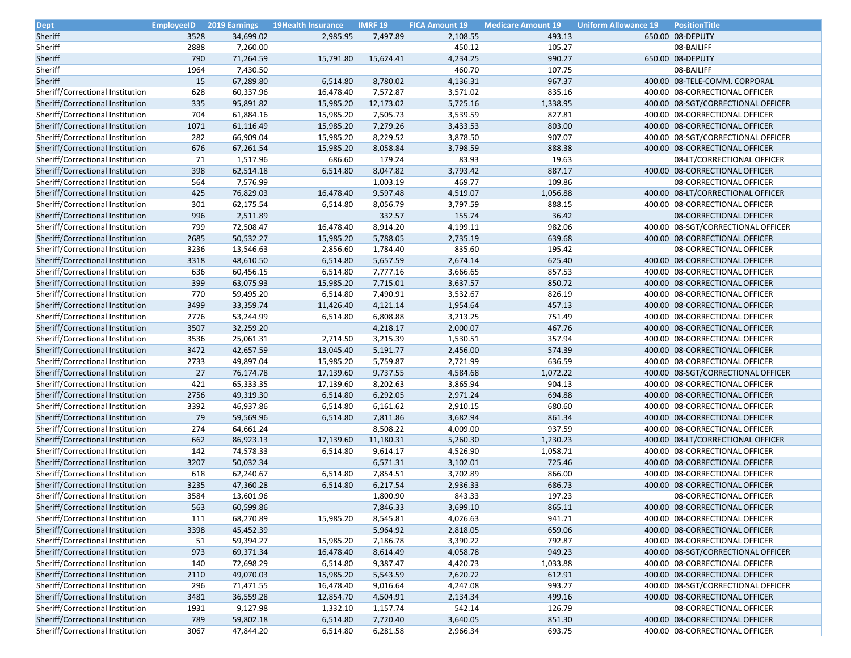| Dept                             | <b>EmployeeID</b> | <b>2019 Earnings</b> | 19Health Insurance | <b>IMRF 19</b> | <b>FICA Amount 19</b> | <b>Medicare Amount 19</b> | <b>Uniform Allowance 19</b><br><b>PositionTitle</b> |
|----------------------------------|-------------------|----------------------|--------------------|----------------|-----------------------|---------------------------|-----------------------------------------------------|
| Sheriff                          | 3528              | 34,699.02            | 2,985.95           | 7,497.89       | 2,108.55              | 493.13                    | 650.00 08-DEPUTY                                    |
| Sheriff                          | 2888              | 7,260.00             |                    |                | 450.12                | 105.27                    | 08-BAILIFF                                          |
| Sheriff                          | 790               | 71,264.59            | 15,791.80          | 15,624.41      | 4,234.25              | 990.27                    | 650.00 08-DEPUTY                                    |
| Sheriff                          | 1964              | 7,430.50             |                    |                | 460.70                | 107.75                    | 08-BAILIFF                                          |
| Sheriff                          | 15                | 67,289.80            | 6,514.80           | 8,780.02       | 4,136.31              | 967.37                    | 400.00 08-TELE-COMM. CORPORAL                       |
| Sheriff/Correctional Institution | 628               | 60,337.96            | 16,478.40          | 7,572.87       | 3,571.02              | 835.16                    | 400.00 08-CORRECTIONAL OFFICER                      |
| Sheriff/Correctional Institution | 335               | 95,891.82            | 15,985.20          | 12,173.02      | 5,725.16              | 1,338.95                  | 400.00 08-SGT/CORRECTIONAL OFFICER                  |
| Sheriff/Correctional Institution | 704               | 61,884.16            | 15,985.20          | 7,505.73       | 3,539.59              | 827.81                    | 400.00 08-CORRECTIONAL OFFICER                      |
| Sheriff/Correctional Institution | 1071              | 61,116.49            | 15,985.20          | 7,279.26       | 3,433.53              | 803.00                    | 400.00 08-CORRECTIONAL OFFICER                      |
| Sheriff/Correctional Institution | 282               | 66,909.04            | 15,985.20          | 8,229.52       | 3,878.50              | 907.07                    | 400.00 08-SGT/CORRECTIONAL OFFICER                  |
| Sheriff/Correctional Institution | 676               | 67,261.54            | 15,985.20          | 8,058.84       | 3,798.59              | 888.38                    | 400.00 08-CORRECTIONAL OFFICER                      |
| Sheriff/Correctional Institution | 71                | 1,517.96             | 686.60             | 179.24         | 83.93                 | 19.63                     | 08-LT/CORRECTIONAL OFFICER                          |
| Sheriff/Correctional Institution | 398               | 62,514.18            | 6,514.80           | 8,047.82       | 3,793.42              | 887.17                    | 400.00 08-CORRECTIONAL OFFICER                      |
| Sheriff/Correctional Institution | 564               | 7,576.99             |                    | 1,003.19       | 469.77                | 109.86                    | 08-CORRECTIONAL OFFICER                             |
| Sheriff/Correctional Institution | 425               | 76,829.03            | 16,478.40          | 9,597.48       | 4,519.07              | 1,056.88                  | 400.00 08-LT/CORRECTIONAL OFFICER                   |
| Sheriff/Correctional Institution | 301               | 62,175.54            | 6,514.80           | 8,056.79       | 3,797.59              | 888.15                    | 400.00 08-CORRECTIONAL OFFICER                      |
| Sheriff/Correctional Institution | 996               | 2,511.89             |                    | 332.57         | 155.74                | 36.42                     | 08-CORRECTIONAL OFFICER                             |
| Sheriff/Correctional Institution | 799               | 72,508.47            | 16,478.40          | 8,914.20       | 4,199.11              | 982.06                    | 400.00 08-SGT/CORRECTIONAL OFFICER                  |
| Sheriff/Correctional Institution | 2685              | 50,532.27            | 15,985.20          | 5,788.05       | 2,735.19              | 639.68                    | 400.00 08-CORRECTIONAL OFFICER                      |
| Sheriff/Correctional Institution | 3236              | 13,546.63            | 2,856.60           | 1,784.40       | 835.60                | 195.42                    | 08-CORRECTIONAL OFFICER                             |
| Sheriff/Correctional Institution | 3318              | 48,610.50            | 6,514.80           | 5,657.59       | 2,674.14              | 625.40                    | 400.00 08-CORRECTIONAL OFFICER                      |
| Sheriff/Correctional Institution | 636               | 60,456.15            | 6,514.80           | 7,777.16       | 3,666.65              | 857.53                    | 400.00 08-CORRECTIONAL OFFICER                      |
| Sheriff/Correctional Institution | 399               | 63,075.93            | 15,985.20          | 7,715.01       | 3,637.57              | 850.72                    | 400.00 08-CORRECTIONAL OFFICER                      |
| Sheriff/Correctional Institution | 770               | 59,495.20            | 6,514.80           | 7,490.91       | 3,532.67              | 826.19                    | 400.00 08-CORRECTIONAL OFFICER                      |
| Sheriff/Correctional Institution | 3499              | 33,359.74            | 11,426.40          | 4,121.14       | 1,954.64              | 457.13                    | 400.00 08-CORRECTIONAL OFFICER                      |
| Sheriff/Correctional Institution | 2776              | 53,244.99            | 6,514.80           | 6,808.88       | 3,213.25              | 751.49                    | 400.00 08-CORRECTIONAL OFFICER                      |
| Sheriff/Correctional Institution | 3507              | 32,259.20            |                    | 4,218.17       | 2,000.07              | 467.76                    | 400.00 08-CORRECTIONAL OFFICER                      |
| Sheriff/Correctional Institution | 3536              | 25,061.31            | 2,714.50           | 3,215.39       | 1,530.51              | 357.94                    | 400.00 08-CORRECTIONAL OFFICER                      |
| Sheriff/Correctional Institution | 3472              | 42,657.59            | 13,045.40          | 5,191.77       | 2,456.00              | 574.39                    | 400.00 08-CORRECTIONAL OFFICER                      |
| Sheriff/Correctional Institution | 2733              | 49,897.04            | 15,985.20          | 5,759.87       | 2,721.99              | 636.59                    | 400.00 08-CORRECTIONAL OFFICER                      |
| Sheriff/Correctional Institution | 27                | 76,174.78            | 17,139.60          | 9,737.55       | 4,584.68              | 1,072.22                  | 400.00 08-SGT/CORRECTIONAL OFFICER                  |
| Sheriff/Correctional Institution | 421               | 65,333.35            | 17,139.60          | 8,202.63       | 3,865.94              | 904.13                    | 400.00 08-CORRECTIONAL OFFICER                      |
| Sheriff/Correctional Institution | 2756              | 49,319.30            | 6,514.80           | 6,292.05       | 2,971.24              | 694.88                    | 400.00 08-CORRECTIONAL OFFICER                      |
| Sheriff/Correctional Institution | 3392              | 46,937.86            | 6,514.80           | 6,161.62       | 2,910.15              | 680.60                    | 400.00 08-CORRECTIONAL OFFICER                      |
| Sheriff/Correctional Institution | 79                | 59,569.96            | 6,514.80           | 7,811.86       | 3,682.94              | 861.34                    | 400.00 08-CORRECTIONAL OFFICER                      |
| Sheriff/Correctional Institution | 274               | 64,661.24            |                    | 8,508.22       | 4,009.00              | 937.59                    | 400.00 08-CORRECTIONAL OFFICER                      |
| Sheriff/Correctional Institution | 662               | 86,923.13            | 17,139.60          | 11,180.31      | 5,260.30              | 1,230.23                  | 400.00 08-LT/CORRECTIONAL OFFICER                   |
| Sheriff/Correctional Institution | 142               | 74,578.33            | 6,514.80           | 9,614.17       | 4,526.90              | 1,058.71                  | 400.00 08-CORRECTIONAL OFFICER                      |
| Sheriff/Correctional Institution | 3207              | 50,032.34            |                    | 6,571.31       | 3,102.01              | 725.46                    | 400.00 08-CORRECTIONAL OFFICER                      |
| Sheriff/Correctional Institution | 618               | 62,240.67            | 6,514.80           | 7,854.51       | 3,702.89              | 866.00                    | 400.00 08-CORRECTIONAL OFFICER                      |
| Sheriff/Correctional Institution | 3235              | 47,360.28            | 6,514.80           | 6,217.54       | 2,936.33              | 686.73                    | 400.00 08-CORRECTIONAL OFFICER                      |
| Sheriff/Correctional Institution | 3584              | 13,601.96            |                    | 1,800.90       | 843.33                | 197.23                    | 08-CORRECTIONAL OFFICER                             |
| Sheriff/Correctional Institution | 563               | 60,599.86            |                    | 7,846.33       | 3,699.10              | 865.11                    | 400.00 08-CORRECTIONAL OFFICER                      |
| Sheriff/Correctional Institution | 111               | 68,270.89            | 15,985.20          | 8,545.81       | 4,026.63              | 941.71                    | 400.00 08-CORRECTIONAL OFFICER                      |
| Sheriff/Correctional Institution | 3398              | 45,452.39            |                    | 5,964.92       | 2,818.05              | 659.06                    | 400.00 08-CORRECTIONAL OFFICER                      |
| Sheriff/Correctional Institution | 51                | 59,394.27            | 15,985.20          | 7,186.78       | 3,390.22              | 792.87                    | 400.00 08-CORRECTIONAL OFFICER                      |
| Sheriff/Correctional Institution | 973               | 69,371.34            | 16,478.40          | 8,614.49       | 4,058.78              | 949.23                    | 400.00 08-SGT/CORRECTIONAL OFFICER                  |
| Sheriff/Correctional Institution | 140               | 72,698.29            | 6,514.80           | 9,387.47       | 4,420.73              | 1,033.88                  | 400.00 08-CORRECTIONAL OFFICER                      |
| Sheriff/Correctional Institution | 2110              | 49,070.03            | 15,985.20          | 5,543.59       | 2,620.72              | 612.91                    | 400.00 08-CORRECTIONAL OFFICER                      |
| Sheriff/Correctional Institution | 296               | 71,471.55            | 16,478.40          | 9,016.64       | 4,247.08              | 993.27                    | 400.00 08-SGT/CORRECTIONAL OFFICER                  |
| Sheriff/Correctional Institution | 3481              | 36,559.28            | 12,854.70          | 4,504.91       | 2,134.34              | 499.16                    | 400.00 08-CORRECTIONAL OFFICER                      |
| Sheriff/Correctional Institution | 1931              | 9,127.98             | 1,332.10           | 1,157.74       | 542.14                | 126.79                    | 08-CORRECTIONAL OFFICER                             |
| Sheriff/Correctional Institution | 789               | 59,802.18            | 6,514.80           | 7,720.40       | 3,640.05              | 851.30                    | 400.00 08-CORRECTIONAL OFFICER                      |
| Sheriff/Correctional Institution | 3067              | 47,844.20            | 6,514.80           |                | 2,966.34              | 693.75                    | 400.00 08-CORRECTIONAL OFFICER                      |
|                                  |                   |                      |                    | 6,281.58       |                       |                           |                                                     |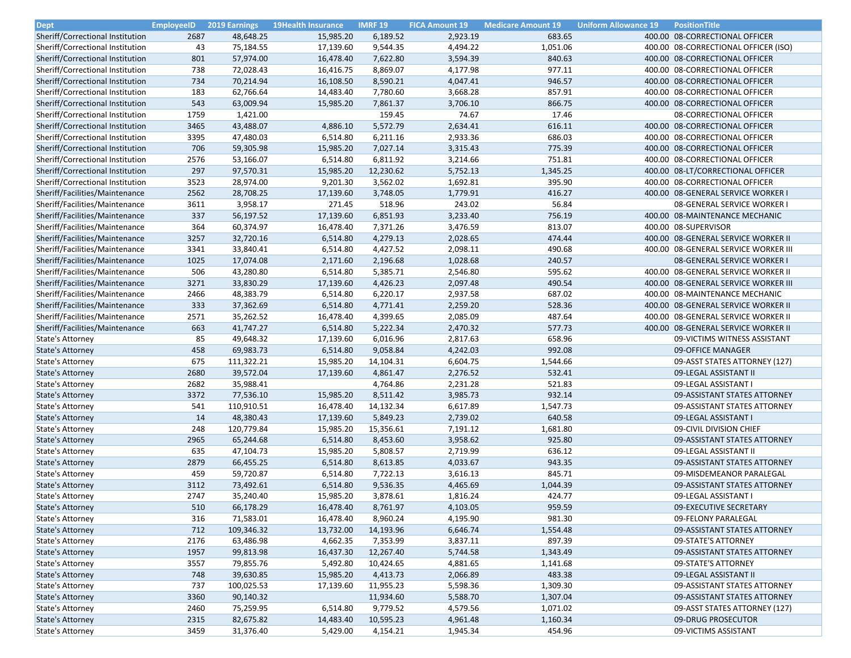| Dept                                 | <b>EmployeeID</b> | <b>2019 Earnings</b> | <b>19Health Insurance</b> | <b>IMRF 19</b> | <b>FICA Amount 19</b> | <b>Medicare Amount 19</b> | <b>Uniform Allowance 19</b> | <b>PositionTitle</b>                 |
|--------------------------------------|-------------------|----------------------|---------------------------|----------------|-----------------------|---------------------------|-----------------------------|--------------------------------------|
| Sheriff/Correctional Institution     | 2687              | 48,648.25            | 15,985.20                 | 6,189.52       | 2,923.19              | 683.65                    |                             | 400.00 08-CORRECTIONAL OFFICER       |
| Sheriff/Correctional Institution     | 43                | 75,184.55            | 17,139.60                 | 9,544.35       | 4,494.22              | 1,051.06                  |                             | 400.00 08-CORRECTIONAL OFFICER (ISO) |
| Sheriff/Correctional Institution     | 801               | 57,974.00            | 16,478.40                 | 7,622.80       | 3,594.39              | 840.63                    |                             | 400.00 08-CORRECTIONAL OFFICER       |
| Sheriff/Correctional Institution     | 738               | 72,028.43            | 16,416.75                 | 8,869.07       | 4,177.98              | 977.11                    |                             | 400.00 08-CORRECTIONAL OFFICER       |
| Sheriff/Correctional Institution     | 734               | 70,214.94            | 16,108.50                 | 8,590.21       | 4,047.41              | 946.57                    |                             | 400.00 08-CORRECTIONAL OFFICER       |
| Sheriff/Correctional Institution     | 183               | 62,766.64            | 14,483.40                 | 7,780.60       | 3,668.28              | 857.91                    |                             | 400.00 08-CORRECTIONAL OFFICER       |
| Sheriff/Correctional Institution     | 543               | 63,009.94            | 15,985.20                 | 7,861.37       | 3,706.10              | 866.75                    |                             | 400.00 08-CORRECTIONAL OFFICER       |
| Sheriff/Correctional Institution     | 1759              | 1,421.00             |                           | 159.45         | 74.67                 | 17.46                     |                             | 08-CORRECTIONAL OFFICER              |
| Sheriff/Correctional Institution     | 3465              | 43,488.07            | 4,886.10                  | 5,572.79       | 2,634.41              | 616.11                    |                             | 400.00 08-CORRECTIONAL OFFICER       |
| Sheriff/Correctional Institution     | 3395              | 47,480.03            | 6,514.80                  | 6,211.16       | 2,933.36              | 686.03                    |                             | 400.00 08-CORRECTIONAL OFFICER       |
| Sheriff/Correctional Institution     | 706               | 59,305.98            | 15,985.20                 | 7,027.14       | 3,315.43              | 775.39                    |                             | 400.00 08-CORRECTIONAL OFFICER       |
| Sheriff/Correctional Institution     | 2576              | 53,166.07            | 6,514.80                  | 6,811.92       | 3,214.66              | 751.81                    |                             | 400.00 08-CORRECTIONAL OFFICER       |
| Sheriff/Correctional Institution     | 297               | 97,570.31            | 15,985.20                 | 12,230.62      | 5,752.13              | 1,345.25                  |                             | 400.00 08-LT/CORRECTIONAL OFFICER    |
| Sheriff/Correctional Institution     | 3523              | 28,974.00            | 9,201.30                  | 3,562.02       | 1,692.81              | 395.90                    |                             | 400.00 08-CORRECTIONAL OFFICER       |
| Sheriff/Facilities/Maintenance       | 2562              | 28,708.25            | 17,139.60                 | 3,748.05       | 1,779.91              | 416.27                    |                             | 400.00 08-GENERAL SERVICE WORKER I   |
| Sheriff/Facilities/Maintenance       | 3611              | 3,958.17             | 271.45                    | 518.96         | 243.02                | 56.84                     |                             | 08-GENERAL SERVICE WORKER I          |
| Sheriff/Facilities/Maintenance       | 337               | 56,197.52            | 17,139.60                 | 6,851.93       | 3,233.40              | 756.19                    |                             | 400.00 08-MAINTENANCE MECHANIC       |
| Sheriff/Facilities/Maintenance       | 364               | 60,374.97            | 16,478.40                 | 7,371.26       | 3,476.59              | 813.07                    |                             | 400.00 08-SUPERVISOR                 |
| Sheriff/Facilities/Maintenance       | 3257              | 32,720.16            | 6,514.80                  | 4,279.13       | 2,028.65              | 474.44                    |                             | 400.00 08-GENERAL SERVICE WORKER II  |
| Sheriff/Facilities/Maintenance       | 3341              | 33,840.41            | 6,514.80                  | 4,427.52       | 2,098.11              | 490.68                    |                             | 400.00 08-GENERAL SERVICE WORKER III |
| Sheriff/Facilities/Maintenance       | 1025              | 17,074.08            | 2,171.60                  | 2,196.68       | 1,028.68              | 240.57                    |                             | 08-GENERAL SERVICE WORKER I          |
| Sheriff/Facilities/Maintenance       | 506               | 43,280.80            | 6,514.80                  | 5,385.71       | 2,546.80              | 595.62                    |                             | 400.00 08-GENERAL SERVICE WORKER II  |
| Sheriff/Facilities/Maintenance       | 3271              | 33,830.29            | 17,139.60                 | 4,426.23       | 2,097.48              | 490.54                    |                             | 400.00 08-GENERAL SERVICE WORKER III |
| Sheriff/Facilities/Maintenance       | 2466              | 48,383.79            | 6,514.80                  | 6,220.17       | 2,937.58              | 687.02                    |                             | 400.00 08-MAINTENANCE MECHANIC       |
| Sheriff/Facilities/Maintenance       | 333               | 37,362.69            | 6,514.80                  | 4,771.41       | 2,259.20              | 528.36                    |                             | 400.00 08-GENERAL SERVICE WORKER II  |
| Sheriff/Facilities/Maintenance       | 2571              | 35,262.52            | 16,478.40                 | 4,399.65       | 2,085.09              | 487.64                    |                             | 400.00 08-GENERAL SERVICE WORKER II  |
| Sheriff/Facilities/Maintenance       | 663               | 41,747.27            | 6,514.80                  | 5,222.34       | 2,470.32              | 577.73                    |                             | 400.00 08-GENERAL SERVICE WORKER II  |
| State's Attorney                     | 85                | 49,648.32            | 17,139.60                 | 6,016.96       | 2,817.63              | 658.96                    |                             | 09-VICTIMS WITNESS ASSISTANT         |
| <b>State's Attorney</b>              | 458               | 69,983.73            | 6,514.80                  | 9,058.84       | 4,242.03              | 992.08                    |                             | 09-OFFICE MANAGER                    |
| State's Attorney                     | 675               | 111,322.21           | 15,985.20                 | 14,104.31      | 6,604.75              | 1,544.66                  |                             | 09-ASST STATES ATTORNEY (127)        |
| <b>State's Attorney</b>              | 2680              | 39,572.04            | 17,139.60                 | 4,861.47       | 2,276.52              | 532.41                    |                             | 09-LEGAL ASSISTANT II                |
| State's Attorney                     | 2682              | 35,988.41            |                           | 4,764.86       | 2,231.28              | 521.83                    |                             | 09-LEGAL ASSISTANT I                 |
| State's Attorney                     | 3372              | 77,536.10            | 15,985.20                 | 8,511.42       | 3,985.73              | 932.14                    |                             | 09-ASSISTANT STATES ATTORNEY         |
| State's Attorney                     | 541               | 110,910.51           | 16,478.40                 | 14,132.34      | 6,617.89              | 1,547.73                  |                             | 09-ASSISTANT STATES ATTORNEY         |
| <b>State's Attorney</b>              | 14                | 48,380.43            | 17,139.60                 | 5,849.23       | 2,739.02              | 640.58                    |                             | 09-LEGAL ASSISTANT I                 |
| State's Attorney                     | 248               | 120,779.84           | 15,985.20                 | 15,356.61      | 7,191.12              | 1,681.80                  |                             | 09-CIVIL DIVISION CHIEF              |
| <b>State's Attorney</b>              | 2965              | 65,244.68            | 6,514.80                  | 8,453.60       | 3,958.62              | 925.80                    |                             | 09-ASSISTANT STATES ATTORNEY         |
| State's Attorney                     | 635               | 47,104.73            | 15,985.20                 | 5,808.57       | 2,719.99              | 636.12                    |                             | 09-LEGAL ASSISTANT II                |
| <b>State's Attorney</b>              | 2879              | 66,455.25            | 6,514.80                  | 8,613.85       | 4,033.67              | 943.35                    |                             | 09-ASSISTANT STATES ATTORNEY         |
| State's Attorney                     | 459               | 59,720.87            | 6,514.80                  | 7,722.13       | 3,616.13              | 845.71                    |                             | 09-MISDEMEANOR PARALEGAL             |
| <b>State's Attorney</b>              | 3112              | 73,492.61            | 6,514.80                  | 9,536.35       | 4,465.69              | 1,044.39                  |                             | 09-ASSISTANT STATES ATTORNEY         |
| State's Attorney                     | 2747              | 35,240.40            | 15,985.20                 | 3,878.61       | 1,816.24              | 424.77                    |                             | 09-LEGAL ASSISTANT I                 |
|                                      | 510               | 66,178.29            | 16,478.40                 | 8,761.97       | 4,103.05              | 959.59                    |                             | 09-EXECUTIVE SECRETARY               |
| State's Attorney<br>State's Attorney | 316               | 71,583.01            | 16,478.40                 | 8,960.24       | 4,195.90              | 981.30                    |                             | 09-FELONY PARALEGAL                  |
| <b>State's Attorney</b>              | 712               | 109,346.32           | 13,732.00                 | 14,193.96      | 6,646.74              | 1,554.48                  |                             |                                      |
|                                      |                   |                      |                           |                |                       |                           |                             | 09-ASSISTANT STATES ATTORNEY         |
| State's Attorney                     | 2176              | 63,486.98            | 4,662.35                  | 7,353.99       | 3,837.11              | 897.39                    |                             | 09-STATE'S ATTORNEY                  |
| <b>State's Attorney</b>              | 1957              | 99,813.98            | 16,437.30                 | 12,267.40      | 5,744.58              | 1,343.49                  |                             | 09-ASSISTANT STATES ATTORNEY         |
| State's Attorney                     | 3557              | 79,855.76            | 5,492.80                  | 10,424.65      | 4,881.65              | 1,141.68                  |                             | 09-STATE'S ATTORNEY                  |
| <b>State's Attorney</b>              | 748               | 39,630.85            | 15,985.20                 | 4,413.73       | 2,066.89              | 483.38                    |                             | 09-LEGAL ASSISTANT II                |
| State's Attorney                     | 737               | 100,025.53           | 17,139.60                 | 11,955.23      | 5,598.36              | 1,309.30                  |                             | 09-ASSISTANT STATES ATTORNEY         |
| <b>State's Attorney</b>              | 3360              | 90,140.32            |                           | 11,934.60      | 5,588.70              | 1,307.04                  |                             | 09-ASSISTANT STATES ATTORNEY         |
| State's Attorney                     | 2460              | 75,259.95            | 6,514.80                  | 9,779.52       | 4,579.56              | 1,071.02                  |                             | 09-ASST STATES ATTORNEY (127)        |
| <b>State's Attorney</b>              | 2315              | 82,675.82            | 14,483.40                 | 10,595.23      | 4,961.48              | 1,160.34                  |                             | 09-DRUG PROSECUTOR                   |
| State's Attorney                     | 3459              | 31,376.40            | 5,429.00                  | 4,154.21       | 1,945.34              | 454.96                    |                             | 09-VICTIMS ASSISTANT                 |